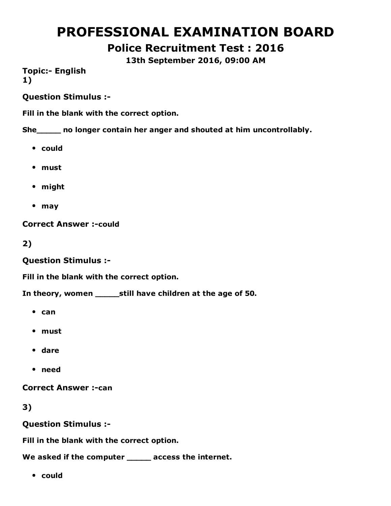# PROFESSIONAL EXAMINATION BOARD

Police Recruitment Test : 2016

13th September 2016, 09:00 AM

**Topic:- English** 1)

Question Stimulus :

Fill in the blank with the correct option.

She\_\_\_\_\_ no longer contain her anger and shouted at him uncontrollably.

- could
- must
- might
- may

**Correct Answer :- could** 

2)

Question Stimulus :

Fill in the blank with the correct option.

In theory, women \_\_\_\_\_still have children at the age of 50.

- $•$  can
- must
- dare
- need

**Correct Answer :- can** 

3)

Question Stimulus :

Fill in the blank with the correct option.

We asked if the computer \_\_\_\_\_ access the internet.

could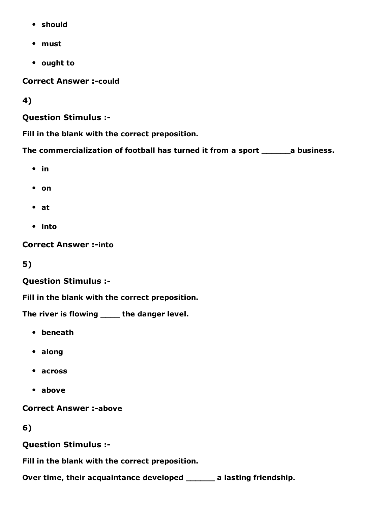- should
- must
- ought to

**Correct Answer :- could** 

4)

### Question Stimulus :

Fill in the blank with the correct preposition.

The commercialization of football has turned it from a sport \_\_\_\_\_\_a business.

- $\cdot$  in
- on
- $\bullet$  at
- into

**Correct Answer :-into** 

5)

### Question Stimulus :

Fill in the blank with the correct preposition.

The river is flowing \_\_\_\_\_ the danger level.

- beneath
- along
- across
- above

**Correct Answer :- above** 

6)

Question Stimulus :

Fill in the blank with the correct preposition.

Over time, their acquaintance developed \_\_\_\_\_\_ a lasting friendship.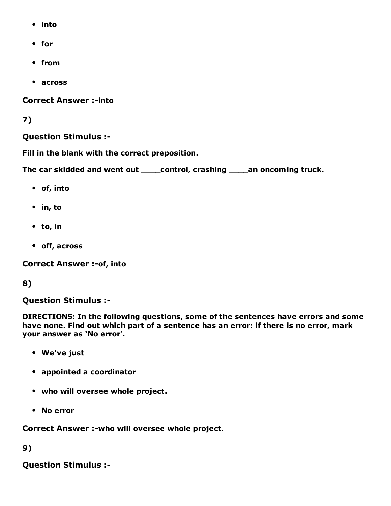- into
- for
- from
- across

**Correct Answer :- into** 

### 7)

### Question Stimulus :

Fill in the blank with the correct preposition.

The car skidded and went out **\_\_\_\_control, crashing \_\_\_\_an oncoming truck.** 

- of, into
- $\bullet$  in, to
- to, in
- off, across

**Correct Answer :- of, into** 

### 8)

Question Stimulus :

DIRECTIONS: In the following questions, some of the sentences have errors and some have none. Find out which part of a sentence has an error: lf there is no error, mark your answer as 'No error'.

- We've just
- appointed a coordinator
- who will oversee whole project.
- No error

Correct Answer :- who will oversee whole project.

9)

Question Stimulus :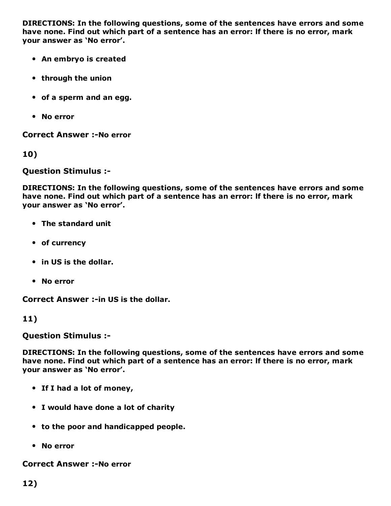DIRECTIONS: In the following questions, some of the sentences have errors and some have none. Find out which part of a sentence has an error: lf there is no error, mark your answer as 'No error'.

- An embryo is created
- through the union
- of a sperm and an egg.
- No error

**Correct Answer :-No error** 

10)

Question Stimulus :

DIRECTIONS: In the following questions, some of the sentences have errors and some have none. Find out which part of a sentence has an error: lf there is no error, mark your answer as 'No error'.

- The standard unit
- of currency
- in US is the dollar.
- No error

Correct Answer :- in US is the dollar.

#### 11)

Question Stimulus :

DIRECTIONS: In the following questions, some of the sentences have errors and some have none. Find out which part of a sentence has an error: lf there is no error, mark your answer as 'No error'.

- If I had a lot of money,
- I would have done a lot of charity
- to the poor and handicapped people.
- No error

**Correct Answer :-No error**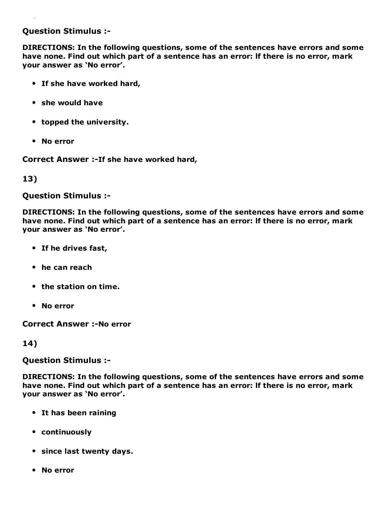#### Question Stimulus :

DIRECTIONS: In the following questions, some of the sentences have errors and some have none. Find out which part of a sentence has an error: lf there is no error, mark your answer as 'No error'.

- If she have worked hard,
- she would have
- topped the university.
- No error

Correct Answer :- If she have worked hard,

#### 13)

Question Stimulus :

DIRECTIONS: In the following questions, some of the sentences have errors and some have none. Find out which part of a sentence has an error: lf there is no error, mark your answer as 'No error'.

- If he drives fast,
- he can reach
- the station on time.
- No error

**Correct Answer :- No error** 

#### 14)

Question Stimulus :

DIRECTIONS: In the following questions, some of the sentences have errors and some have none. Find out which part of a sentence has an error: lf there is no error, mark your answer as 'No error'.

- It has been raining
- continuously
- since last twenty days.
- No error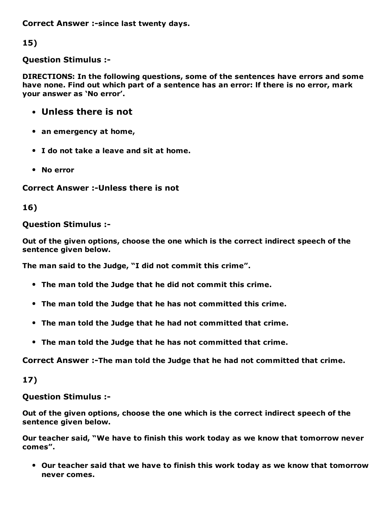Correct Answer :-since last twenty days.

15)

Question Stimulus :

DIRECTIONS: In the following questions, some of the sentences have errors and some have none. Find out which part of a sentence has an error: lf there is no error, mark your answer as 'No error'.

- Unless there is not
- an emergency at home,
- I do not take a leave and sit at home.
- No error

Correct Answer :- Unless there is not

16)

### Question Stimulus :

Out of the given options, choose the one which is the correct indirect speech of the sentence given below.

The man said to the Judge, "I did not commit this crime".

- The man told the Judge that he did not commit this crime.
- The man told the Judge that he has not committed this crime.
- The man told the Judge that he had not committed that crime.
- The man told the Judge that he has not committed that crime.

Correct Answer :-The man told the Judge that he had not committed that crime.

17)

Question Stimulus :

Out of the given options, choose the one which is the correct indirect speech of the sentence given below.

Our teacher said, "We have to finish this work today as we know that tomorrow never comes".

Our teacher said that we have to finish this work today as we know that tomorrow never comes.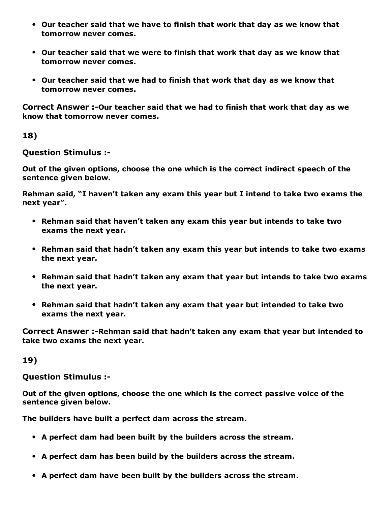- Our teacher said that we have to finish that work that day as we know that tomorrow never comes.
- Our teacher said that we were to finish that work that day as we know that tomorrow never comes.
- Our teacher said that we had to finish that work that day as we know that tomorrow never comes.

Correct Answer :-Our teacher said that we had to finish that work that day as we know that tomorrow never comes.

18)

Question Stimulus :

Out of the given options, choose the one which is the correct indirect speech of the sentence given below.

Rehman said, "I haven't taken any exam this year but I intend to take two exams the next year".

- Rehman said that haven't taken any exam this year but intends to take two exams the next year.
- Rehman said that hadn't taken any exam this year but intends to take two exams the next year.
- Rehman said that hadn't taken any exam that year but intends to take two exams the next year.
- Rehman said that hadn't taken any exam that year but intended to take two exams the next year.

Correct Answer :-Rehman said that hadn't taken any exam that year but intended to take two exams the next year.

19)

Question Stimulus :

Out of the given options, choose the one which is the correct passive voice of the sentence given below.

The builders have built a perfect dam across the stream.

- A perfect dam had been built by the builders across the stream.
- A perfect dam has been build by the builders across the stream.
- A perfect dam have been built by the builders across the stream.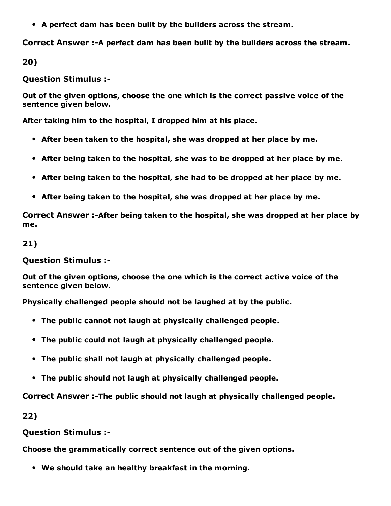A perfect dam has been built by the builders across the stream.

Correct Answer :-A perfect dam has been built by the builders across the stream.

20)

Question Stimulus :

Out of the given options, choose the one which is the correct passive voice of the sentence given below.

After taking him to the hospital, I dropped him at his place.

- After been taken to the hospital, she was dropped at her place by me.
- After being taken to the hospital, she was to be dropped at her place by me.
- After being taken to the hospital, she had to be dropped at her place by me.
- After being taken to the hospital, she was dropped at her place by me.

Correct Answer :-After being taken to the hospital, she was dropped at her place by me.

#### 21)

Question Stimulus :

Out of the given options, choose the one which is the correct active voice of the sentence given below.

Physically challenged people should not be laughed at by the public.

- The public cannot not laugh at physically challenged people.
- The public could not laugh at physically challenged people.
- The public shall not laugh at physically challenged people.
- The public should not laugh at physically challenged people.

Correct Answer :-The public should not laugh at physically challenged people.

22)

Question Stimulus :

Choose the grammatically correct sentence out of the given options.

We should take an healthy breakfast in the morning.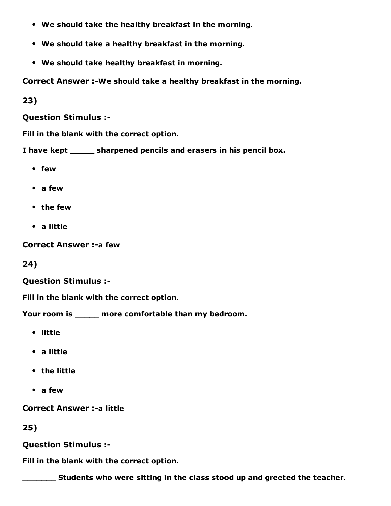- We should take the healthy breakfast in the morning.
- We should take a healthy breakfast in the morning.
- We should take healthy breakfast in morning.

Correct Answer :-We should take a healthy breakfast in the morning.

23)

Question Stimulus :

Fill in the blank with the correct option.

I have kept \_\_\_\_\_ sharpened pencils and erasers in his pencil box.

- few
- a few
- the few
- a little

Correct Answer :- a few

24)

#### Question Stimulus :

Fill in the blank with the correct option.

Your room is \_\_\_\_\_ more comfortable than my bedroom.

- little
- a little
- the little
- a few

**Correct Answer :- a little** 

#### 25)

Question Stimulus :

Fill in the blank with the correct option.

**EXECUTE:** Students who were sitting in the class stood up and greeted the teacher.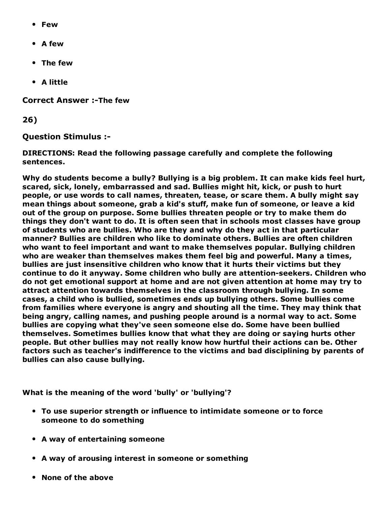- Few
- A few
- The few
- A little

**Correct Answer :-The few** 

26)

Question Stimulus :

DIRECTIONS: Read the following passage carefully and complete the following sentences.

Why do students become a bully? Bullying is a big problem. It can make kids feel hurt, scared, sick, lonely, embarrassed and sad. Bullies might hit, kick, or push to hurt people, or use words to call names, threaten, tease, or scare them. A bully might say mean things about someone, grab a kid's stuff, make fun of someone, or leave a kid out of the group on purpose. Some bullies threaten people or try to make them do things they don't want to do. It is often seen that in schools most classes have group of students who are bullies. Who are they and why do they act in that particular manner? Bullies are children who like to dominate others. Bullies are often children who want to feel important and want to make themselves popular. Bullying children who are weaker than themselves makes them feel big and powerful. Many a times, bullies are just insensitive children who know that it hurts their victims but they continue to do it anyway. Some children who bully are attention-seekers. Children who do not get emotional support at home and are not given attention at home may try to attract attention towards themselves in the classroom through bullying. In some cases, a child who is bullied, sometimes ends up bullying others. Some bullies come from families where everyone is angry and shouting all the time. They may think that being angry, calling names, and pushing people around is a normal way to act. Some bullies are copying what they've seen someone else do. Some have been bullied themselves. Sometimes bullies know that what they are doing or saying hurts other people. But other bullies may not really know how hurtful their actions can be. Other factors such as teacher's indifference to the victims and bad disciplining by parents of bullies can also cause bullying.

What is the meaning of the word 'bully' or 'bullying'?

- To use superior strength or influence to intimidate someone or to force someone to do something
- A way of entertaining someone
- A way of arousing interest in someone or something
- None of the above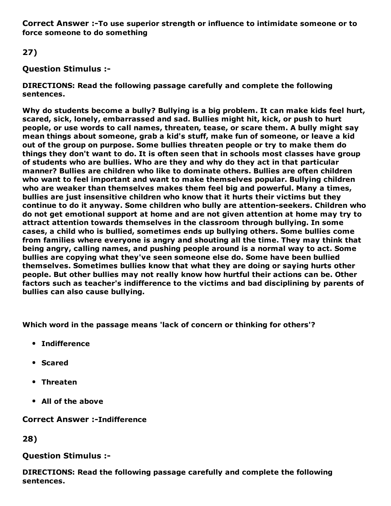Correct Answer :-To use superior strength or influence to intimidate someone or to force someone to do something

27)

### Question Stimulus :

DIRECTIONS: Read the following passage carefully and complete the following sentences.

Why do students become a bully? Bullying is a big problem. It can make kids feel hurt, scared, sick, lonely, embarrassed and sad. Bullies might hit, kick, or push to hurt people, or use words to call names, threaten, tease, or scare them. A bully might say mean things about someone, grab a kid's stuff, make fun of someone, or leave a kid out of the group on purpose. Some bullies threaten people or try to make them do things they don't want to do. It is often seen that in schools most classes have group of students who are bullies. Who are they and why do they act in that particular manner? Bullies are children who like to dominate others. Bullies are often children who want to feel important and want to make themselves popular. Bullying children who are weaker than themselves makes them feel big and powerful. Many a times, bullies are just insensitive children who know that it hurts their victims but they continue to do it anyway. Some children who bully are attention-seekers. Children who do not get emotional support at home and are not given attention at home may try to attract attention towards themselves in the classroom through bullying. In some cases, a child who is bullied, sometimes ends up bullying others. Some bullies come from families where everyone is angry and shouting all the time. They may think that being angry, calling names, and pushing people around is a normal way to act. Some bullies are copying what they've seen someone else do. Some have been bullied themselves. Sometimes bullies know that what they are doing or saying hurts other people. But other bullies may not really know how hurtful their actions can be. Other factors such as teacher's indifference to the victims and bad disciplining by parents of bullies can also cause bullying.

Which word in the passage means 'lack of concern or thinking for others'?

- **•** Indifference
- Scared
- Threaten
- All of the above

**Correct Answer :-Indifference** 

28)

#### Question Stimulus :

DIRECTIONS: Read the following passage carefully and complete the following sentences.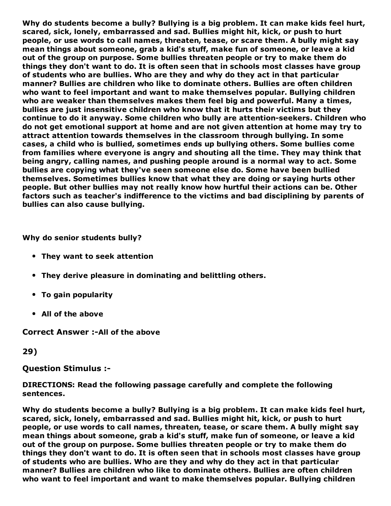Why do students become a bully? Bullying is a big problem. It can make kids feel hurt, scared, sick, lonely, embarrassed and sad. Bullies might hit, kick, or push to hurt people, or use words to call names, threaten, tease, or scare them. A bully might say mean things about someone, grab a kid's stuff, make fun of someone, or leave a kid out of the group on purpose. Some bullies threaten people or try to make them do things they don't want to do. It is often seen that in schools most classes have group of students who are bullies. Who are they and why do they act in that particular manner? Bullies are children who like to dominate others. Bullies are often children who want to feel important and want to make themselves popular. Bullying children who are weaker than themselves makes them feel big and powerful. Many a times, bullies are just insensitive children who know that it hurts their victims but they continue to do it anyway. Some children who bully are attention-seekers. Children who do not get emotional support at home and are not given attention at home may try to attract attention towards themselves in the classroom through bullying. In some cases, a child who is bullied, sometimes ends up bullying others. Some bullies come from families where everyone is angry and shouting all the time. They may think that being angry, calling names, and pushing people around is a normal way to act. Some bullies are copying what they've seen someone else do. Some have been bullied themselves. Sometimes bullies know that what they are doing or saying hurts other people. But other bullies may not really know how hurtful their actions can be. Other factors such as teacher's indifference to the victims and bad disciplining by parents of bullies can also cause bullying.

Why do senior students bully?

- They want to seek attention
- They derive pleasure in dominating and belittling others.
- To gain popularity
- All of the above

Correct Answer :- All of the above

29)

Question Stimulus :

DIRECTIONS: Read the following passage carefully and complete the following sentences.

Why do students become a bully? Bullying is a big problem. It can make kids feel hurt, scared, sick, lonely, embarrassed and sad. Bullies might hit, kick, or push to hurt people, or use words to call names, threaten, tease, or scare them. A bully might say mean things about someone, grab a kid's stuff, make fun of someone, or leave a kid out of the group on purpose. Some bullies threaten people or try to make them do things they don't want to do. It is often seen that in schools most classes have group of students who are bullies. Who are they and why do they act in that particular manner? Bullies are children who like to dominate others. Bullies are often children who want to feel important and want to make themselves popular. Bullying children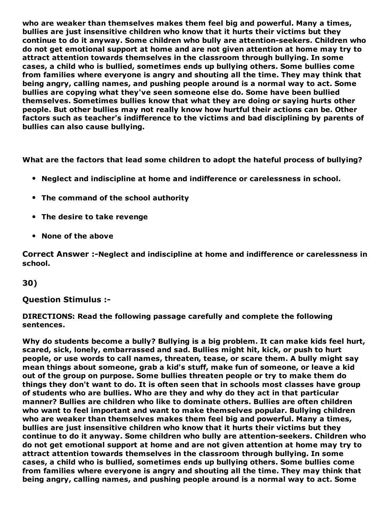who are weaker than themselves makes them feel big and powerful. Many a times, bullies are just insensitive children who know that it hurts their victims but they continue to do it anyway. Some children who bully are attention-seekers. Children who do not get emotional support at home and are not given attention at home may try to attract attention towards themselves in the classroom through bullying. In some cases, a child who is bullied, sometimes ends up bullying others. Some bullies come from families where everyone is angry and shouting all the time. They may think that being angry, calling names, and pushing people around is a normal way to act. Some bullies are copying what they've seen someone else do. Some have been bullied themselves. Sometimes bullies know that what they are doing or saying hurts other people. But other bullies may not really know how hurtful their actions can be. Other factors such as teacher's indifference to the victims and bad disciplining by parents of bullies can also cause bullying.

What are the factors that lead some children to adopt the hateful process of bullying?

- Neglect and indiscipline at home and indifference or carelessness in school.
- The command of the school authority
- The desire to take revenge
- None of the above

Correct Answer :-Neglect and indiscipline at home and indifference or carelessness in school.

#### 30)

#### Question Stimulus :

DIRECTIONS: Read the following passage carefully and complete the following sentences.

Why do students become a bully? Bullying is a big problem. It can make kids feel hurt, scared, sick, lonely, embarrassed and sad. Bullies might hit, kick, or push to hurt people, or use words to call names, threaten, tease, or scare them. A bully might say mean things about someone, grab a kid's stuff, make fun of someone, or leave a kid out of the group on purpose. Some bullies threaten people or try to make them do things they don't want to do. It is often seen that in schools most classes have group of students who are bullies. Who are they and why do they act in that particular manner? Bullies are children who like to dominate others. Bullies are often children who want to feel important and want to make themselves popular. Bullying children who are weaker than themselves makes them feel big and powerful. Many a times, bullies are just insensitive children who know that it hurts their victims but they continue to do it anyway. Some children who bully are attention-seekers. Children who do not get emotional support at home and are not given attention at home may try to attract attention towards themselves in the classroom through bullying. In some cases, a child who is bullied, sometimes ends up bullying others. Some bullies come from families where everyone is angry and shouting all the time. They may think that being angry, calling names, and pushing people around is a normal way to act. Some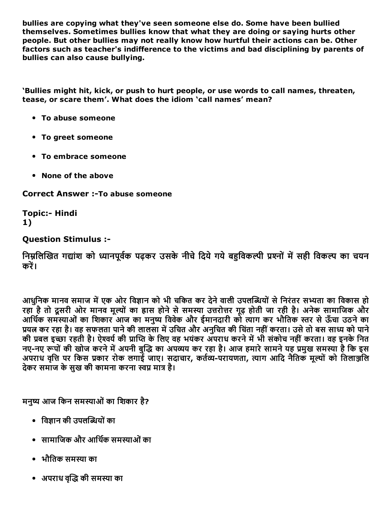bullies are copying what they've seen someone else do. Some have been bullied themselves. Sometimes bullies know that what they are doing or saying hurts other people. But other bullies may not really know how hurtful their actions can be. Other factors such as teacher's indifference to the victims and bad disciplining by parents of bullies can also cause bullying.

'Bullies might hit, kick, or push to hurt people, or use words to call names, threaten, tease, or scare them'. What does the idiom 'call names' mean?

- To abuse someone
- To greet someone
- To embrace someone
- None of the above

**Correct Answer :-To abuse someone** 

**Topic:- Hindi** 1)

#### Question Stimulus :

निम्नलिखित गद्यांश को ध्यानपूर्वक पढ़कर उसके नीचे दिये गये बहविकल्पी प्रश्नों में सही विकल्प का चयन करें।

आधुनिक मानव समाज में एक ओर विज्ञान को भी चकित कर देने वाली उपलब्धियों से निरंतर सभ्यता का विकास हो रहा है तो दूसरी ओर मानव मूल्यों का ह्रास होने से समस्या उत्तरोत्तर गूढ़ होती जा रही है। अनेक सामाजिक और आर्थिक समस्याओं का शिकार आज का मनुष्य विवेक और ईमानदारी को त्याग कर भौतिक स्तर से ऊँचा उठने का प्रयत्न कर रहा है। वह सफलता पाने की लालसा में उचित और अनुचित की चिंता नहीं करता। उसे तो बस साध्य को पाने की प्रबल इच्छा रहती है। ऐश्वर्य की प्राप्ति के लिए वह भयंकर अपराध करने में भी संकोच नहीं करता। वह इनके नित नए-नए रूपों की खोज करने में अपनी बुद्धि का अपव्यय कर रहा है। आज हमारे सामने यह प्रमुख समस्या है कि इस अपराध वृत्ति पर किस प्रकार रोक लगाई जाए। सदाचार, कर्तव्य-परायणता, त्याग आदि नैतिक मूल्यों को तिलाञ्जलि देकर समाज के सुख की कामना करना स्वप्न मात्र है।

मनुष्य आज किन समस्याओं का शिकार है?

- विज्ञान की उपलब्धियों का
- सामाजिक और आर्थिक समस्याओं का
- भौतिक समस्या का
- अपराध वद्धि की समस्या का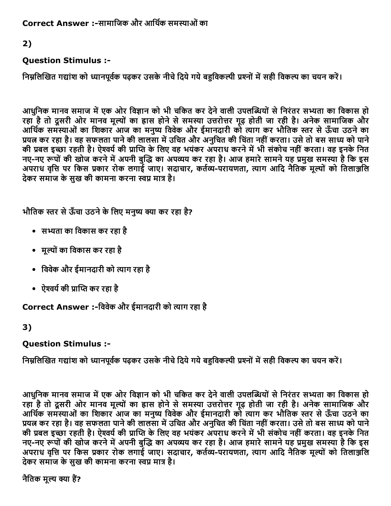Correct Answer :-सामाजिक और आर्थिक समस्याओं का

### 2)

### Question Stimulus :

निम्नलिखित गद्यांश को ध्यानपूर्वक पढ़कर उसके नीचे दिये गये बहुविकल्पी प्रश्नों में सही विकल्प का चयन करें।

आधुनिक मानव समाज में एक ओर विज्ञान को भी चकित कर देने वाली उपलब्धियों से निरंतर सभ्यता का विकास हो रहा है तो दूसरी ओर मानव मूल्यों का ह्रास होने से समस्या उत्तरोत्तर गूढ़ होती जा रही है। अनेक सामाजिक और आर्थिक समस्याओं का शिकार आज का मनुष्य विवेक और ईमानदारी को त्याग कर भौतिक स्तर से ऊँचा उठने का प्रयत्न कर रहा है। वह सफलता पाने की लालसा में उचित और अनुचित की चिंता नहीं करता। उसे तो बस साध्य को पाने की प्रबल इच्छा रहती है। ऐश्वर्य की प्राप्ति के लिए वह भयंकर अपराध करने में भी संकोच नहीं करता। वह इनके नित नए-नए रूपों की खोज करने में अपनी बुद्धि का अपव्यय कर रहा है। आज हमारे सामने यह प्रमुख समस्या है कि इस अपराध वृत्ति पर किस प्रकार रोक लगाई जाए। सदाचार, कर्तव्य-परायणता, त्याग आदि नैतिक मूल्यों को तिलाञ्जलि देकर समाज के सख की कामना करना स्वप्न मात्र है।

भौतिक स्तर से ऊँचा उठने के लिए मनुष्य क्या कर रहा है?

- सभ्यता का विकास कर रहा है
- मूल्यों का विकास कर रहा है
- विवेक और ईमानदारी को त्याग रहा है
- ऐश्वर्य की प्राप्ति कर रहा है

Correct Answer :-विवेक और ईमानदारी को त्याग रहा है

### 3)

### Question Stimulus :

निम्नलिखित गद्यांश को ध्यानपूर्वक पढ़कर उसके नीचे दिये गये बहुविकल्पी प्रश्नों में सही विकल्प का चयन करें।

आधुनिक मानव समाज में एक ओर विज्ञान को भी चकित कर देने वाली उपलब्धियों से निरंतर सभ्यता का विकास हो रहा है तो दूसरी ओर मानव मूल्यों का ह्रास होने से समस्या उत्तरोत्तर गूढ़ होती जा रही है। अनेक सामाजिक और आर्थिक समस्याओं का शिकार आज का मनुष्य विवेक और ईमानदारी को त्याग कर भौतिक स्तर से ऊँचा उठने का ्……<br>प्रयत्न कर रहा है। वह सफलता पाने की लालसा में उचित और अनुचित की चिंता नहीं करता। उसे तो बस साध्य को पाने न्नारा कर रहते है। ऐश्वर्य की प्राप्ति के लिए वह भयंकर अपराध करने में भी संकोच नहीं करता। वह इनके नित नए-नए रूपों की खोज करने में अपनी बुद्धि का अपव्यय कर रहा है। आज हमारे सामने यह प्रमुख समस्या है कि इस अपराध वृत्ति पर किस प्रकार रोक लगाई जाए। सदाचार, कर्तव्य-परायणता, त्याग आदि नैतिक मूल्यों को तिलाञ्जलि देकर समाज के सुख की कामना करना स्वप्न मात्र है।

नैतिक मल्य क्या हैं?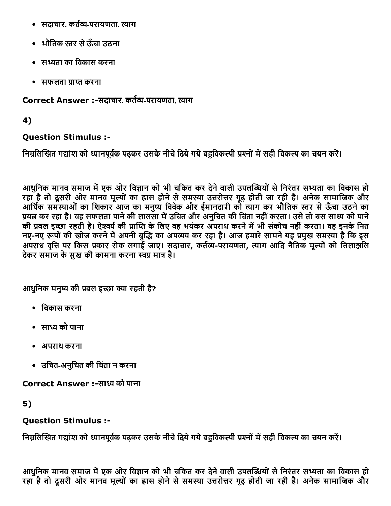- सदाचार, कर्तव्य-परायणता, त्याग
- भौतिक स्तर से ऊँचा उठना
- सभ्यता का विकास करना
- सफलता प्राप्त करना

Correct Answer :-सदाचार, कर्तव्य-परायणता, त्याग

4)

### Question Stimulus :

निम्नलिखित गद्यांश को ध्यानपूर्वक पढ़कर उसके नीचे दिये गये बहुविकल्पी प्रश्नों में सही विकल्प का चयन करें।

आधुनिक मानव समाज में एक ओर विज्ञान को भी चकित कर देने वाली उपलब्धियों से निरंतर सभ्यता का विकास हो रहा है तो दूसरी ओर मानव मूल्यों का ह्रास होने से समस्या उत्तरोत्तर गूढ़ होती जा रही है। अनेक सामाजिक और आर्थिक समस्याओं का शिकार आज का मनुष्य विवेक और ईमानदारी को त्याग कर भौतिक स्तर से ऊँचा उठने का प्रयत्न कर रहा है। वह सफलता पाने की लालसा में उचित और अनुचित की चिंता नहीं करता। उसे तो बस साध्य को पाने की प्रबल इच्छा रहती है। ऐश्वर्य की प्राप्ति के लिए वह भयंकर अपराध करने में भी संकोच नहीं करता। वह इनके नित नए-नए रूपों की खोज करने में अपनी बुद्धि का अपव्यय कर रहा है। आज हमारे सामने यह प्रमुख समस्या है कि इस अपराध वृत्ति पर किस प्रकार रोक लगाई जाए। सदाचार, कर्तव्य-परायणता, त्याग आदि नैतिक मूल्यों को तिलाञ्जलि देकर समाज के सख की कामना करना स्वप्न मात्र है।

आधनिक मनुष्य की प्रबल इच्छा क्या रहती है?

- िवकास करना
- साध्य को पाना
- अपराध करना
- उिचतअनुिचत की िचतंा न करना

Correct Answer :-साध्य को पाना

5)

## Question Stimulus :

निम्नलिखित गद्यांश को ध्यानपूर्वक पढ़कर उसके नीचे दिये गये बहुविकल्पी प्रश्नों में सही विकल्प का चयन करें।

आधुनिक मानव समाज में एक ओर विज्ञान को भी चकित कर देने वाली उपलब्धियों से निरंतर सभ्यता का विकास हो रहा है तो दूसरी ओर मानव मूल्यों का ह्रास होने से समस्या उत्तरोत्तर गुढ़ होती जा रही है। अनेक सामाजिक और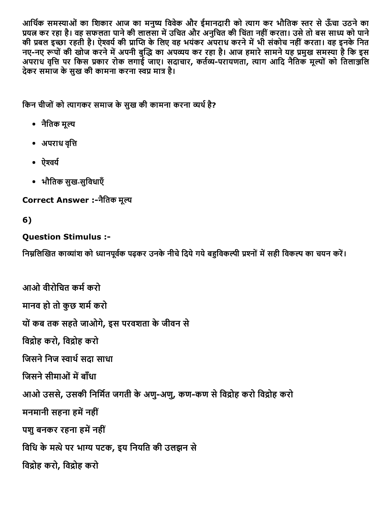आर्थिक समस्याओं का शिकार आज का मनुष्य विवेक और ईमानदारी को त्याग कर भौतिक स्तर से ऊँचा उठने का प्रयत्न कर रहा है। वह सफलता पाने की लालसा में उचित और अनुचित की चिंता नहीं करता। उसे तो बस साध्य को पाने की प्रबल इच्छा रहती है। ऐश्वर्य की प्राप्ति के लिए वह भयंकर अपराध करने में भी संकोच नहीं करता। वह इनके नित नए-नए रूपों की खोज करने में अपनी बुद्धि का अपव्यय कर रहा है। आज हमारे सामने यह प्रमुख समस्या है कि इस अपराध वृत्ति पर किस प्रकार रोक लगाई जाए। सदाचार, कर्तव्य-परायणता, त्याग आदि नैतिक मूल्यों को तिलाञ्जलि देकर समाज के सुख की कामना करना स्वप्न मात्र है।

किन चीजों को त्यागकर समाज के सुख की कामना करना व्यर्थ है?

- नैतिक मूल्य
- अपराध वृत्ति
- ऐश्वर्य
- भौतिक सुख-सुविधाएँ

Correct Answer :-नैतिक मूल्य

## 6)

### Question Stimulus :

निम्नलिखित काव्यांश को ध्यानपूर्वक पढ़कर उनके नीचे दिये गये बहुविकल्पी प्रश्नों में सही विकल्प का चयन करें।

```
आओ वीरोचित कर्म करो
मानव हो तो कुछ शर्म करो
यों कब तक सहते जाओगे, इस परवशता के जीवन से
विद्रोह करो, विद्रोह करो
जिसने निज स्वार्थ सदा साधा
जिसने सीमाओं में बाँधा
आओ उससे, उसकी निर्मित जगती के अणु-अणु, कण-कण से विद्रोह करो विद्रोह करो
मनमानी सहना हमें नहीं
पशु बनकर रहना हमें नहीं
विधि के मत्थे पर भाग्य पटक, इय नियति की उलझन से
विद्रोह करो, विद्रोह करो
```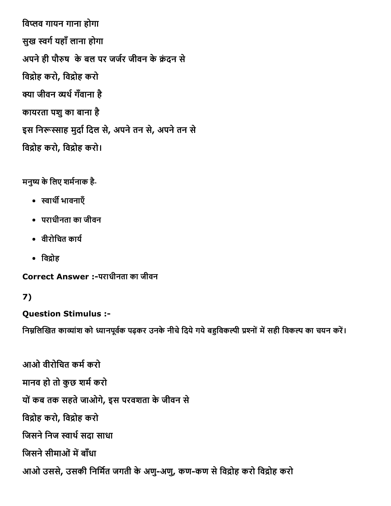विप्लव गायन गाना होगा सुख स्वर्ग यहाँ लाना होगा अपने ही पौरुष के बल पर जर्जर जीवन के क्रंदन से विद्रोह करो, विद्रोह करो क्या जीवन व्यर्थ गँवाना है कायरता पशुका बाना है इस निरूस्साह मुर्दा दिल से, अपने तन से, अपने तन से विद्रोह करो, विद्रोह करो।

मनुष्य के लिए शर्मनाक है-

- स्वार्थी भावनाएँ
- पराधीनता का जीवन
- वीरोचित कार्य
- $\cdot$  विद्रोह

Correct Answer :पराधीनता का जीवन

## 7)

## Question Stimulus :

निम्नलिखित काव्यांश को ध्यानपूर्वक पढ़कर उनके नीचे दिये गये बहुविकल्पी प्रश्नों में सही विकल्प का चयन करें।

आओ वीरोचित कर्म करो मानव हो तो कुछ शर्म करो योंकब तक सहतेजाओगे, इस परवशता केजीवन से विद्रोह करो, विद्रोह करो जिसने निज स्वार्थ सदा साधा जिसने सीमाओं में बाँधा आओ उससे, उसकी निर्मित जगती के अणु-अणु, कण-कण से विद्रोह करो विद्रोह करो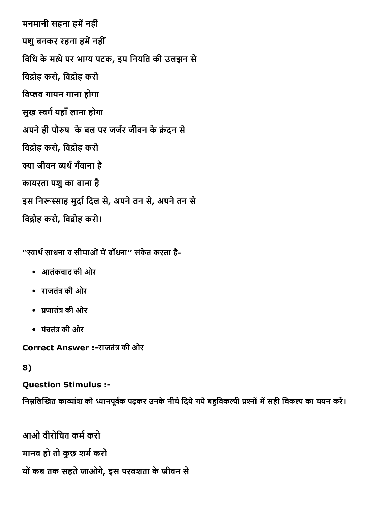मनमानी सहना हमें नहीं पशु बनकर रहना हमें नहीं विधि के मत्थे पर भाग्य पटक, इय नियति की उलझन से विद्रोह करो, विद्रोह करो विप्लव गायन गाना होगा सुख स्वर्ग यहाँ लाना होगा अपने ही पौरुष के बल पर जर्जर जीवन के क्रंदन से विद्रोह करो, विद्रोह करो क्या जीवन व्यर्थ गँवाना है कायरता पशुका बाना है इस निरूस्साह मुर्दा दिल से, अपने तन से, अपने तन से विद्रोह करो, विद्रोह करो।

''स्वार्थ साधना व सीमाओं में बाँधना'' संकेत करता है-

- आतंकवाद की ओर
- राजतंत्र की ओर
- प्रजातंत्र की ओर
- पंचतंत्र की ओर

Correct Answer :-राजतंत्र की ओर

## 8)

Question Stimulus :

निम्नलिखित काव्यांश को ध्यानपूर्वक पढ़कर उनके नीचे दिये गये बहुविकल्पी प्रश्नों में सही विकल्प का चयन करें।

```
आओ वीरोचित कर्म करो
मानव हो तो कुछ शर्म करो
योंकब तक सहतेजाओगे, इस परवशता केजीवन से
```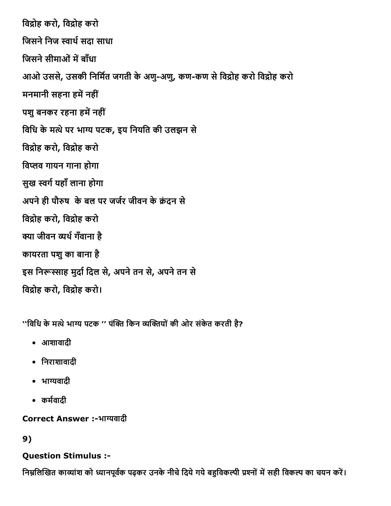विद्रोह करो, विद्रोह करो जिसने निज स्वार्थ सदा साधा जिसने सीमाओं में बाँधा आओ उससे, उसकी निर्मित जगती के अणु-अणु, कण-कण से विद्रोह करो विद्रोह करो मनमानी सहना हमें नहीं पशु बनकर रहना हमें नहीं विधि के मत्थे पर भाग्य पटक, इय नियति की उलझन से विद्रोह करो, विद्रोह करो विप्लव गायन गाना होगा सुख स्वर्ग यहाँ लाना होगा अपने ही पौरुष के बल पर जर्जर जीवन के क्रंदन से विद्रोह करो, विद्रोह करो क्या जीवन व्यर्थ गँवाना है कायरता पशुका बाना है इस निरूस्साह मुर्दा दिल से, अपने तन से, अपने तन से विद्रोह करो, विद्रोह करो।

''विधि के मत्थे भाग्य पटक '' पंक्ति किन व्यक्तियों की ओर संकेत करती है?

- आशावादी
- िनराशावादी
- भाग्यवादी
- कर्मवादी

Correct Answer :-भाग्यवादी

## 9)

## Question Stimulus :

निम्नलिखित काव्यांश को ध्यानपूर्वक पढ़कर उनके नीचे दिये गये बहुविकल्पी प्रश्नों में सही विकल्प का चयन करें।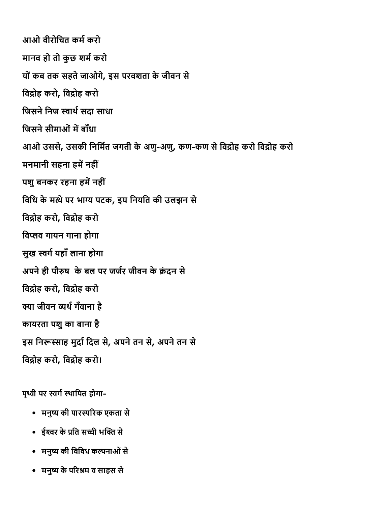आओ वीरोचित कर्म करो मानव हो तो कुछ शर्म करो यों कब तक सहते जाओगे, इस परवशता के जीवन से विद्रोह करो, विद्रोह करो जिसने निज स्वार्थ सदा साधा जिसने सीमाओं में बाँधा आओ उससे, उसकी निर्मित जगती के अणु-अणु, कण-कण से विद्रोह करो विद्रोह करो मनमानी सहना हमें नहीं पशु बनकर रहना हमें नहीं विधि के मत्थे पर भाग्य पटक, इय नियति की उलझन से विद्रोह करो, विद्रोह करो विप्लव गायन गाना होगा सुख स्वर्ग यहाँ लाना होगा अपने ही पौरुष के बल पर जर्जर जीवन के क्रंटन से विद्रोह करो, विद्रोह करो क्या जीवन व्यर्थ गँवाना है कायरता पशुका बाना है इस निरूस्साह मुर्दा दिल से, अपने तन से, अपने तन से विद्रोह करो, विद्रोह करो।

पृथ्वी पर स्वर्ग स्थापित होगा-

- मनुष्य की पारस्परिक एकता से
- ईश्वर के प्रति सच्ची भक्ति से
- मनुष्य की विविध कल्पनाओं से
- मनुष्य के परिश्रम व साहस से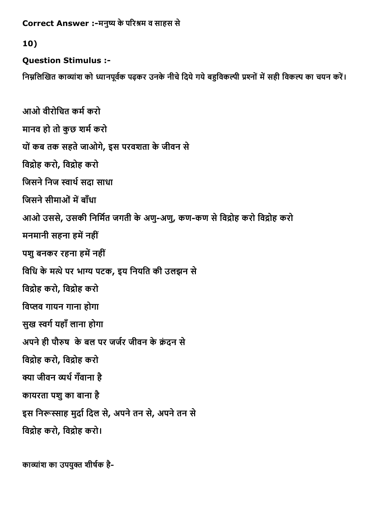```
Correct Answer :-मनुष्य के परिश्रम व साहस से
```
#### 10)

### Question Stimulus :

निम्नलिखित काव्यांश को ध्यानपूर्वक पढ़कर उनके नीचे दिये गये बहुविकल्पी प्रश्नों में सही विकल्प का चयन करें।

```
आओ वीरोचित कर्म करो
मानव हो तो कुछ शर्म करो
यों कब तक सहते जाओगे, इस परवशता के जीवन से
विद्रोह करो, विद्रोह करो
जिसने निज स्वार्थ सदा साधा
जिसने सीमाओं में बाँधा
आओ उससे, उसकी निर्मित जगती के अणु-अणु, कण-कण से विद्रोह करो विद्रोह करो
मनमानी सहना हमें नहीं
पशु बनकर रहना हमें नहीं
विधि के मत्थे पर भाग्य पटक, इय नियति की उलझन से
विद्रोह करो, विद्रोह करो
विप्लव गायन गाना होगा
सुख स्वर्ग यहाँ लाना होगा
अपने ही पौरुष  के बल पर जर्जर जीवन के क्रंदन से
विद्रोह करो, विद्रोह करो
क्या जीवन व्यर्थ गँवाना है
कायरता पशुका बाना है
इस निरूस्साह मुर्दा दिल से, अपने तन से, अपने तन से
विद्रोह करो, विद्रोह करो।
```

```
काव्यांश का उपयुक्त शीर्षक है-
```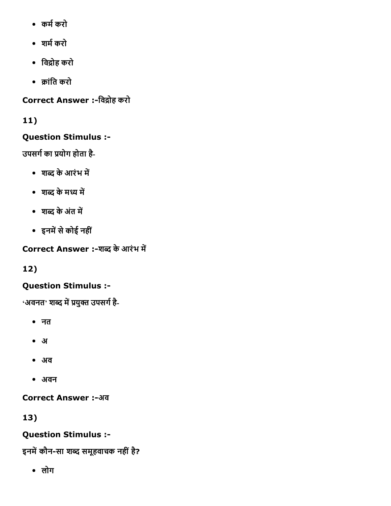- कर्म करो
- शर्म करो
- विद्रोह करो
- 팄ांित करो

Correct Answer :-विद्रोह करो

## 11)

## Question Stimulus :

उपसर्ग का प्रयोग होता है-

- शब्द के आरंभ में
- शब्द के मध्य में
- शब्द के अंत में
- इनमें से कोई नहीं

Correct Answer :-शब्द के आरंभ में

12)

## Question Stimulus :

'अवनत' शब्द में प्रयुक्त उपसर्ग है-

- नत
- अ
- अव
- अवन

Correct Answer :-अव

13)

## Question Stimulus :

इनमें कौन-सा शब्द समूहवाचक नहीं है?

लोग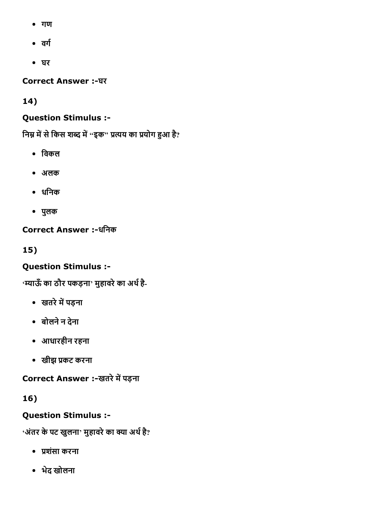- गण
- वर्ग
- घर

Correct Answer :-घर

14)

## Question Stimulus :

निम्न में से किस शब्द में "इक" प्रत्यय का प्रयोग हुआ है?

- िवकल
- अलक
- धिनक
- पुलक

Correct Answer :-धनिक

15)

## Question Stimulus :

'म्याऊँ का ठौर पकड़ना' मुहावरे का अर्थ है-

- खतरे में पड़ना
- बोलनेन देना
- आधारहीन रहना
- खीझ प्रकट करना

Correct Answer :-खतरे में पड़ना

16)

## Question Stimulus :

'अंतर के पट खुलना' मुहावरे का क्या अर्थ है?

- प्रशंसा करना
- भेद खोलना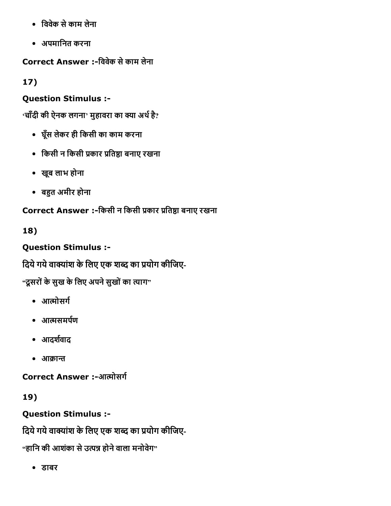- िववेक सेकाम लेना
- अपमािनत करना

Correct Answer :िववेक सेकाम लेना

17)

## Question Stimulus :

 $\cdot$ चाँदी की ऐनक लगना $\cdot$  मुहावरा का क्या अर्थ है?

- घूँस लेकर ही िकसी का काम करना
- किसी न किसी प्रकार प्रतिष्ठा बनाए रखना
- खूब लाभ होना
- बहुत अमीर होना

Correct Answer :-किसी न किसी प्रकार प्रतिष्ठा बनाए रखना

18)

Question Stimulus :

दिये गये वाक्यांश के लिए एक शब्द का प्रयोग कीजिए-

"दूसरों के सुख के लिए अपने सुखों का त्याग"

- आत्मोसर्ग
- आत्मसमर्पण
- आदर्शवाद
- आक्रान्त

Correct Answer :-आत्मोसर्ग

19)

Question Stimulus :

दिये गये वाक्यांश के लिए एक शब्द का प्रयोग कीजिए-

"हानि की आशंका से उत्पन्न होने वाला मनोवेग"

डाबर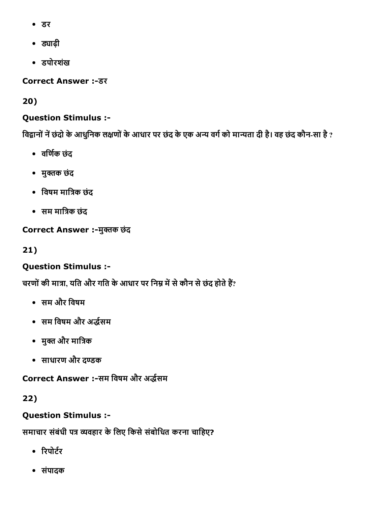- डर
- ड्याढ़ी
- डपोरशखं

**Correct Answer :- डर** 

20)

### Question Stimulus :

विद्वानों नें छंदो के आधुनिक लक्षणों के आधार पर छंद के एक अन्य वर्ग को मान्यता दी है। वह छंद कौन-सा है ?

- वर्णिक छंद
- मुक्तक छंद
- विषम मात्रिक छंद
- सम मात्रिक छंद

Correct Answer :-मुक्तक छंद

21)

## Question Stimulus :

चरणों की मात्रा, यति और गति के आधार पर निम्न में से कौन से छंद होते हैं?

- सम और िवषम
- सम विषम और अर्द्धसम
- मुक्त और मात्रिक
- साधारण और द猄क

Correct Answer :-सम विषम और अर्द्धसम

22)

## Question Stimulus :

समाचार संबंधी पत्र व्यवहार के लिए किसे संबोधित करना चाहिए?

- रिपोर्टर
- संपादक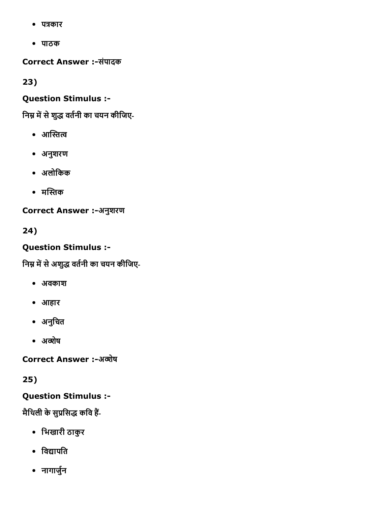- पत्रकार
- पाठक

Correct Answer :-संपादक

23)

## Question Stimulus :

निम्न में से शुद्ध वर्तनी का चयन कीजिए-

- आस्तित्व
- अनुशरण
- अलोिकक
- मस्तिक

Correct Answer :-अनुशरण

24)

## Question Stimulus :

निम्न में से अशुद्ध वर्तनी का चयन कीजिए-

- अवकाश
- आहार
- अनुचित
- अव्शेष

Correct Answer :-अब्शेष

25)

Question Stimulus :

मैथिली के सुप्रसिद्ध कवि हैं-

- िभखारी ठाकुर
- विद्यापति
- नागार्जुन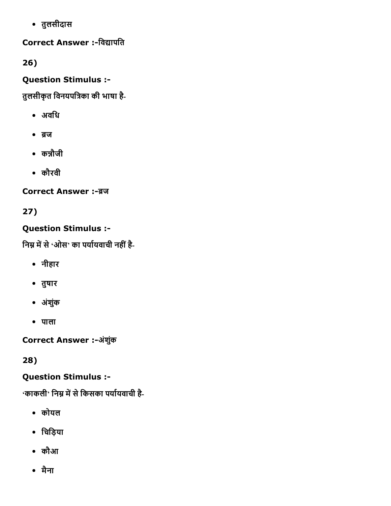तुलसीदास

## Correct Answer :-विद्यापति

26)

## Question Stimulus :

तुलसीकृत विनयपत्रिका की भाषा है-

- अविध
- ब्रज
- कन्नौजी
- कौरवी

Correct Answer :-ब्रज

## 27)

## Question Stimulus :

निम्न में से 'ओस' का पर्यायवाची नहीं है-

- नीहार
- तुषार
- अंशकुं
- पाला

Correct Answer :-अंशुंक

28)

## Question Stimulus :

'काकली' निम्न में से किसका पर्यायवाची है-

- कोयल
- िचिड़या
- कौआ
- मैना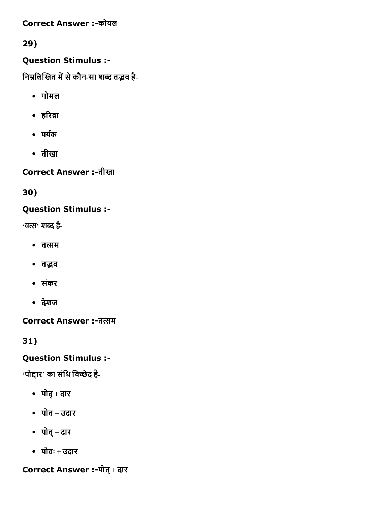**Correct Answer :-कोयल** 

29)

### Question Stimulus :

निम्नलिखित में से कौन-सा शब्द तद्भव है-

- गोमल
- हरिद्रा
- पर्यक
- तीखा

Correct Answer :तीखा

30)

## Question Stimulus :

**'वत्स' शब्द है**-

- तत्सम
- तद्भव
- संकर
- देशज

Correct Answer :- तत्सम

31)

## Question Stimulus :

'पोद्दार' का संधि विच्छेद है-

- पोद्+ दार
- पोत + उदार
- पोत्+ दार
- पोतः + उदार

Correct Answer :-पोत् + दार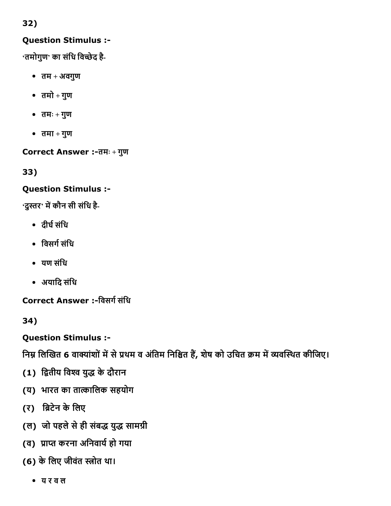## 32)

### Question Stimulus :

 $\cdot$ तमोगुण $\cdot$  का संधि विच्छेद है-

- $\overline{d}$ तम + अवगुण
- तमो + गुण
- तमः + गुण
- $\overline{d}$ तमा + गुण

Correct Answer :तमः + गुण

33)

### Question Stimulus :

'दुस्तर' में कौन सी संधि है-

- दीर्घ संधि
- विसर्ग संधि
- यण संिध
- अयािद संिध

Correct Answer :-विसर्ग संधि

34)

Question Stimulus :

निम्न लिखित 6 वाक्यांशों में से प्रथम व अंतिम निश्चित हैं, शेष को उचित क्रम में व्यवस्थित कीजिए।

- (1) द्वितीय विश्व युद्ध के दौरान
- (य) भारत का ता礄ािलक सहयोग
- (र) ब्रिटेन के लिए
- (ल) जो पहले से ही संबद्ध युद्ध सामग्री
- (व) प्राप्त करना अनिवार्य हो गया
- (6) के लिए जीवंत स्त्रोत था।
	- य र व ल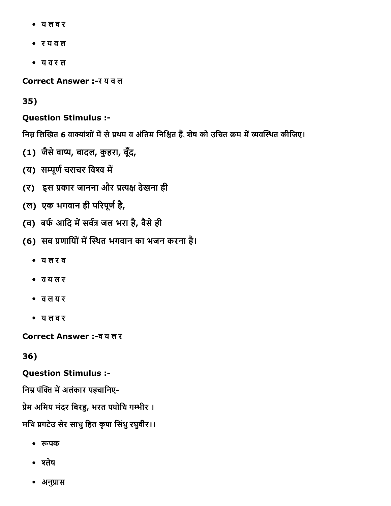- य ल व र
- र य व ल
- य व र ल

Correct Answer :र य व ल

35)

#### Question Stimulus :

निम्न लिखित 6 वाक्यांशों में से प्रथम व अंतिम निश्चित हैं, शेष को उचित क्रम में व्यवस्थित कीजिए।

- (1) जैसेवा⌄, बादल, कुहरा, बूँद,
- (य) सम्पूर्ण चराचर विश्व में
- (र) इस प्रकार जानना और प्रत्यक्ष देखना ही
- (ल) एक भगवान ही परिपूर्ण है,
- (व) बर्फ आदि में सर्वत्र जल भरा है, वैसे ही
- (6) सब प्रणायोिं में स्थित भगवान का भजन करना है।
	- य ल र व
	- व य ल र
	- व ल य र
	- य ल व र

Correct Answer :व य ल र

#### 36)

#### Question Stimulus :

निम्न पंक्ति में अलंकार पहचानिए-

प्रेम अमिय मंदर बिरहु, भरत पयोधि गम्भीर ।

### मधि प्रगटेउ सेर साधु हित कृपा सिंधु रघुवीर।।

- रूपक
- श्लेष
- अनुप्रास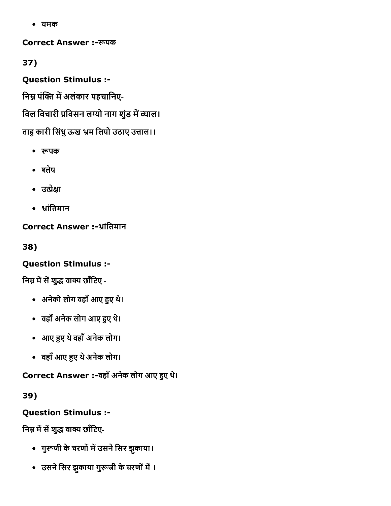यमक

Correct Answer :ꌄपक

37)

Question Stimulus :

निम्न पंक्ति में अलंकार पहचानिए-

विल विचारी प्रविसन लग्यो नाग शुंड में व्याल।

ताहु कारी सिंधु ऊख भ्रम लियो उठाए उत्ताल।।

- रूपक
- श्लेष
- उत्प्रेक्षा
- भ्रांतिमान

Correct Answer :-भ्रांतिमान

38)

## Question Stimulus :

निम्न में सें शुद्ध वाक्य छाँटिए -

- अनेको लोग वहाँ आए हुए थे।
- वहाँ अनेक लोग आए हुए थे।
- आए 엿켄ए थेवहाँअनेक लोग।
- वहाँआए 엿켄ए थेअनेक लोग।

Correct Answer :-वहाँ अनेक लोग आए हुए थे।

39)

Question Stimulus :

निम्न में सें शुद्ध वाक्य छाँटिए-

- गुरूजी के चरणों में उसने सिर झुकाया।
- उसने सिर झुकाया गुरूजी के चरणों में ।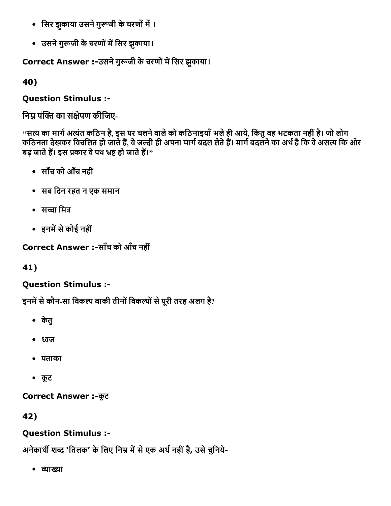- सिर झकाया उसने गुरूजी के चरणों में ।
- उसने गुरूजी के चरणों में सिर झुकाया।

Correct Answer :-उसने गुरूजी के चरणों में सिर झुकाया।

40)

Question Stimulus :

निम्न पंक्ति का संक्षेपण कीजिए-

''सत्य का मार्ग अत्यंत कठिन है, इस पर चलने वाले को कठिनाइयाँ भले ही आये, किंतु वह भटकता नहीं है। जो लोग कठिनता देखकर विचलित हो जाते हैं, वे जल्दी ही अपना मार्ग बदल लेते हैं। मार्ग बदलने का अर्थ है कि वे असत्य कि ओर बढ़ जाते हैं। इस प्रकार वे पथ भ्रष्ट हो जाते हैं।''

- साँच को आँच नहीं
- सब िदन रहत न एक समान
- सच्चा मित्र
- इनमें से कोई नहीं

Correct Answer :-साँच को आँच नहीं

41)

## Question Stimulus :

इनमें से कौन-सा विकल्प बाकी तीनों विकल्पों से पूरी तरह अलग है?

- केतु
- ध्वज
- पताका
- कूट

**Correct Answer :-कूट** 

42)

## Question Stimulus :

अनेकार्थी शब्द 'तिलक' के लिए निम्न में से एक अर्थ नहीं है, उसे चुनिये-

• व्याख्या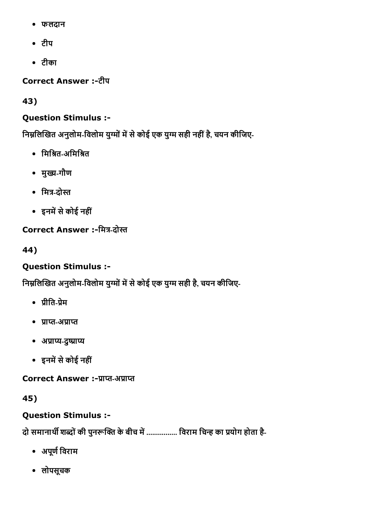- फलदान
- टीप
- टीका

Correct Answer :-टीप

43)

## Question Stimulus :

निम्नलिखित अनुलोम-विलोम युग्मों में से कोई एक युग्म सही नहीं है, चयन कीजिए-

- मिश्रित-अमिश्रित
- मुख्य-गौण
- मित्र-दोस्त
- इनमें से कोई नहीं

## Correct Answer :-मित्र-दोस्त

44)

## Question Stimulus :

निम्नलिखित अनुलोम-विलोम युग्मों में से कोई एक युग्म सही है, चयन कीजिए-

- प्रीति-प्रेम
- प्राप्त-अप्राप्त
- अप्राप्य-दुष्प्राप्य
- इनमें से कोई नहीं

Correct Answer :-प्राप्त-अप्राप्त

45)

## Question Stimulus :

दो समानार्थी शब्दों की पुनरूक्ति के बीच में ................ विराम चिन्ह का प्रयोग होता है-

- अपूर्ण विराम
- लोपसूचक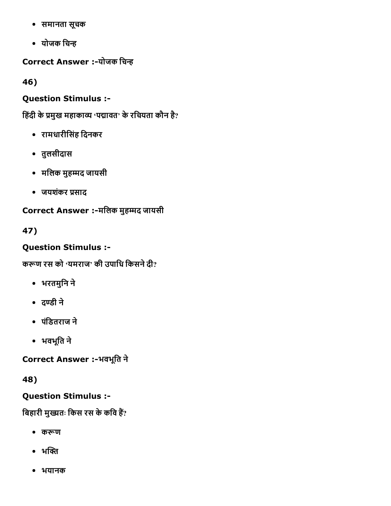- समानता सूचक
- योजक चिन्ह

Correct Answer :-योजक चिन्ह

46)

### Question Stimulus :

हिंदी के प्रमुख महाकाव्य 'पद्मावत' के रचियता कौन है?

- रामधारीिसंह िदनकर
- तुलसीदास
- मलिक मुहम्मद जायसी
- जयशंकर प्रसाद

Correct Answer :-मलिक मुहम्मद जायसी

47)

## Question Stimulus :

करूण रस को 'यमराज' की उपाधि किसने दी?

- भरतमुिन ने
- दण्डी ने
- पंिडतराज ने
- भवभूित ने

Correct Answer :-भवभूति ने

48)

## Question Stimulus :

बिहारी मुख्यतः किस रस के कवि हैं?

- करूण
- $\cdot$  भक्ति
- भयानक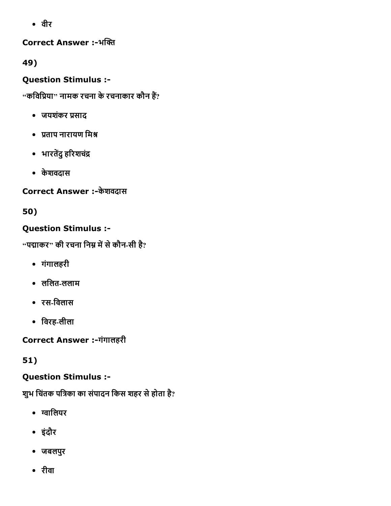वीर

Correct Answer :-भक्ति

49)

Question Stimulus :

 $\cdot$ 'कविप्रिया'' नामक रचना के रचनाकार कौन हैं?

- जयशंकर प्रसाद
- प्रताप नारायण मिश्र
- भारतेंदु हरिशचंद्र
- केशवदास

Correct Answer :-केशवदास

50)

## Question Stimulus :

 $\cdot$ 'पद्माकर'' की रचना निम्न में से कौन-सी है?

- गंगालहरी
- ललित-ललाम
- रसिवलास
- िवरहलीला

Correct Answer :-गंगालहरी

51)

## Question Stimulus :

शुभ चिंतक पत्रिका का संपादन किस शहर से होता है?

- ग्वालियर
- इंदौर
- जबलपुर
- रीवा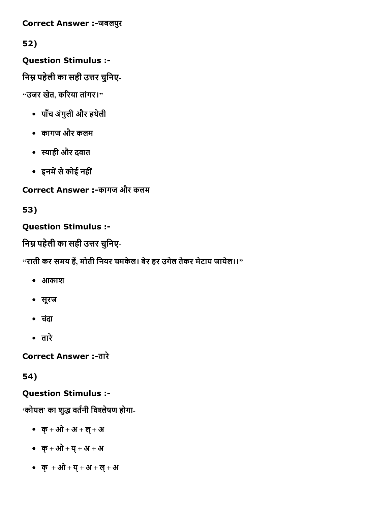Correct Answer :-जबलपुर

52)

Question Stimulus :

निम्न पहेली का सही उत्तर चुनिए-

 $"$ उजर खेत, करिया तांगर। $"$ 

- पाँच अंगुली और हथलेी
- कागज और कलम
- स्याही और दवात
- इनमें से कोई नहीं

Correct Answer :-कागज और कलम

53)

# Question Stimulus :

निम्न पहेली का सही उत्तर चुनिए-

 $\cdot$ 'राती कर समय हें, मोती नियर चमकेल। बेर हर उगेल तेकर मेटाय जायेल।।''

- आकाश
- सूरज
- चदंा
- तारे

**Correct Answer :-तारे** 

54)

# Question Stimulus :

'कोयल' का शुद्ध वर्तनी विश्लेषण होगा-

- क्+ ओ + अ + ल्+ अ
- क्+ ओ + य्+ अ + अ
- क्+ ओ + य्+ अ + ल्+ अ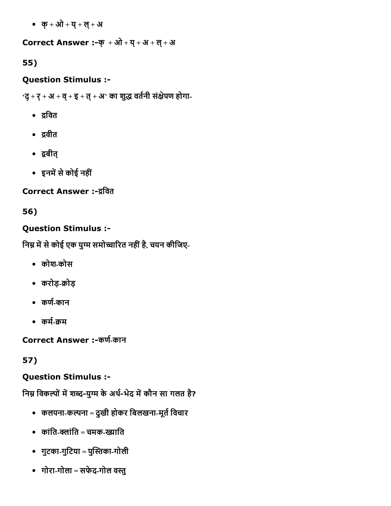क्+ ओ + य्+ ल्+ अ

## Correct Answer :- क् + ओ + य् + अ + ल् + अ

## 55)

## Question Stimulus :

'द् + र् + अ + व् + इ + त् + अ' का शुद्ध वर्तनी संक्षेपण होगा-

- द्रवित
- द्रवीत
- 똄बीत्
- इनमें से कोई नहीं

# Correct Answer :-द्रवित

# 56)

# Question Stimulus :

निम्न में से कोई एक युग्म समोच्चारित नहीं है, चयन कीजिए-

- कोशकोस
- करोड़-क्रोड़
- कर्ण-कान
- कर्म-क्रम

Correct Answer :-कर्ण-कान

# 57)

# Question Stimulus :

निम्न विकल्पों में शब्द-युग्म के अर्थ-भेद में कौन सा गलत है?

- कलपना-कल्पना = दुखी होकर बिलखना-मूर्त विचार
- $\bullet$  कांति-क्लांति = चमक-ख्याति
- गुटका-गुटिया = पुस्तिका-गोली
- गोरा-गोला = सफेद-गोल वस्तु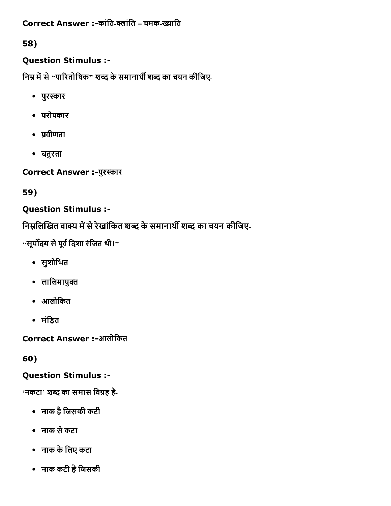Correct Answer :-कांति-क्लांति = चमक-ख्याति

58)

## Question Stimulus :

निम्न में से "पारितोषिक" शब्द के समानार्थी शब्द का चयन कीजिए-

- पुर洄कार
- परोपकार
- प्रवीणता
- चतुरता

Correct Answer :- पुरस्कार

59)

# Question Stimulus :

निम्नलिखित वाक्य में से रेखांकित शब्द के समानार्थी शब्द का चयन कीजिए-

"सूर्योदय से पूर्व दिशा <u>रंजित</u> थी।"

- सुशोिभत
- लालिमायुक्त
- आलोिकत
- मंडित

Correct Answer :-आलोकित

60)

Question Stimulus :

**'नकटा' शब्द का समास विग्रह है**-

- नाक हैिजसकी कटी
- नाक सेकटा
- नाक केिलए कटा
- नाक कटी हैिजसकी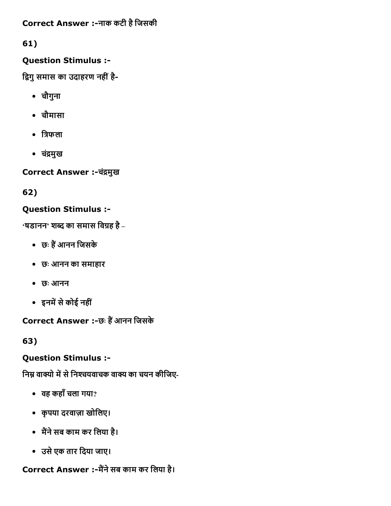Correct Answer :-नाक कटी है जिसकी

61)

## Question Stimulus :

द्विगु समास का उदाहरण नहीं है-

- चौगुना
- चौमासा
- $\bullet$  त्रिफला
- चंद्रमुख

Correct Answer :-चंद्रमुख

62)

# Question Stimulus :

 $\cdot$ षडानन $\cdot$  शब्द का समास विग्रह है –

- छः हैं आनन जिसके
- छः आनन का समाहार
- छः आनन
- इनमें से कोई नहीं

Correct Answer :-छः हैं आनन जिसके

63)

# Question Stimulus :

निम्न वाक्यो में से निश्चयवाचक वाक्य का चयन कीजिए-

- वह कहाँचला गया?
- कृपया दरवाज़ा खोिलए।
- मैंने सब काम कर लिया है।
- उसेएक तार िदया जाए।

Correct Answer :-मैंने सब काम कर लिया है।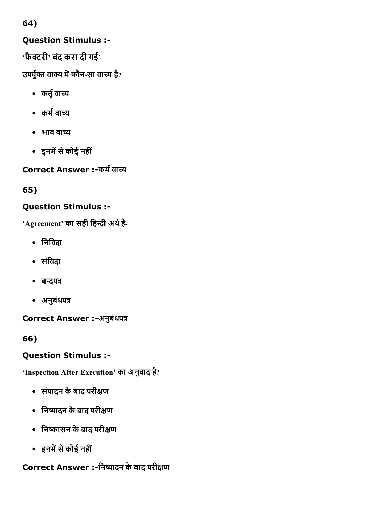# Question Stimulus :

 $\cdot$ फैक्टरी $\cdot$  बंद करा दी गई $\cdot$ 

उपर्युक्त वाक्य में कौन-सा वाच्य है?

- कर्तृ वाच्य
- कर्म वाच्य
- भाव वाच्य
- इनमें से कोई नहीं

Correct Answer :-कर्म वाच्य

65)

# Question Stimulus :

'Agreement' का सही हिन्दी अर्थ है-

- िनिवदा
- संविदा
- बन्दपत्र
- अनुबंधपत्र

Correct Answer :-अनुबंधपत्र

66)

# Question Stimulus :

'Inspection After Execution' का अनुवाद है?

- संपादन केबाद परी偌ण
- निष्पादन के बाद परीक्षण
- िन၏ासन केबाद परी偌ण
- इनमें से कोई नहीं

# Correct Answer :-निष्पादन के बाद परीक्षण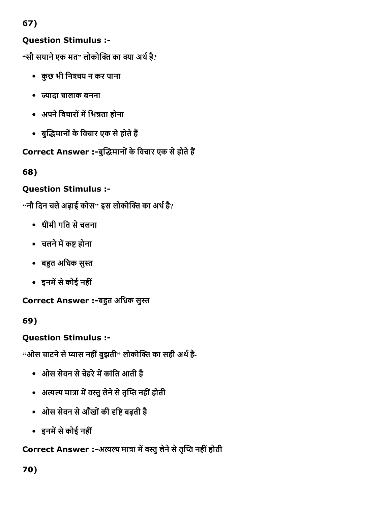# Question Stimulus :

"सौ सयाने एक मत" लोकोक्ति का क्या अर्थ है?

- कुछ भी निश्चय न कर पाना
- 倄ादा चालाक बनना
- अपने विचारों में भिन्नता होना
- बुद्धिमानों के विचार एक से होते हैं

Correct Answer :-बुद्धिमानों के विचार एक से होते हैं

68)

# Question Stimulus :

 $\cdot$ 'नौ दिन चले अढ़ाई कोस'' इस लोकोक्ति का अर्थ है?

- धीमी गित सेचलना
- चलने में कष्ट होना
- बहुत अधिक सुस्त
- इनमें से कोई नहीं

Correct Answer :-बहुत अधिक सुस्त

69)

Question Stimulus :

"ओस चाटने से प्यास नहीं बुझती" लोकोक्ति का सही अर्थ है-

- ओस सेवन से चेहरे में कांति आती है
- अत्यल्प मात्रा में वस्तु लेने से तृप्ति नहीं होती
- ओस सेवन से आँखों की दृष्टि बढ़ती है
- इनमें से कोई नहीं

Correct Answer :-अत्यल्प मात्रा में वस्तु लेने से तृप्ति नहीं होती

70)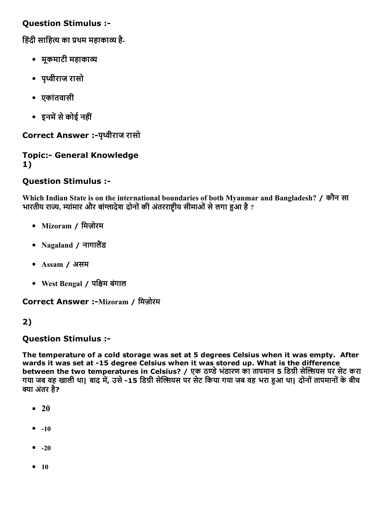हिंदी साहित्य का प्रथम महाकाव्य है-

- मूकमाटी महाका褄
- पृ鸄ीराज रासो
- एकांतवासी
- इनमें से कोई नहीं

Correct Answer :- पृथ्वीराज रासो

#### **Topic:- General Knowledge** 1)

### Question Stimulus :

Which Indian State is on the international boundaries of both Myanmar and Bangladesh? / कौन सा भारतीय राज्य, म्यांमार और बांग्लादेश दोनों की अंतरराष्ट्रीय सीमाओं से लगा हुआ है ?

- Mizoram / मिजोरम
- Nagaland / नागालैंड
- Assam / असम
- West Bengal / पि鐄म बंगाल

Correct Answer :-Mizoram / मिज़ोरम

#### 2)

#### Question Stimulus :

The temperature of a cold storage was set at 5 degrees Celsius when it was empty. After wards it was set at -15 degree Celsius when it was stored up. What is the difference between the two temperatures in Celsius? / एक ठण्डे भंडारण का तापमान 5 डिग्री सेल्सियस पर सेट करा गया जब वह खाली था। बाद में, उसे -15 डिग्री सेल्सियस पर सेट किया गया जब वह भरा हुआ था। दोनों तापमानों के बीच क्या अंतर है?

- $\bullet$  20
- $-10$
- $-20$
- $10$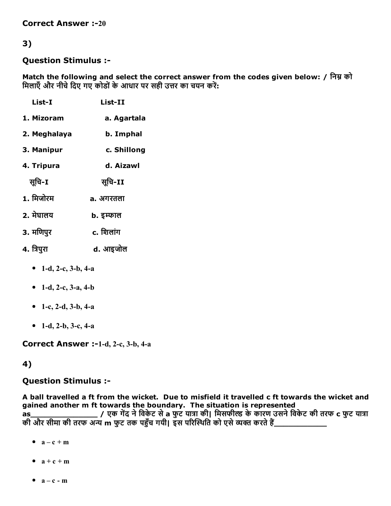#### Question Stimulus :

Match the following and select the correct answer from the codes given below: / निम्न को मिलाएँ और नीचे दिए गए कोडों के आधार पर सही उत्तर का चयन करें:

| List-I       | List-II          |
|--------------|------------------|
| 1. Mizoram   | a. Agartala      |
| 2. Meghalaya | b. Imphal        |
| 3. Manipur   | c. Shillong      |
| 4. Tripura   | d. Aizawl        |
| सुचि-I       | सचि-II           |
| 1. मिजोरम    | a. अगरतला        |
| 2. मेघालय    | <b>b.</b> इम्फाल |
| 3. मणिपुर    | c. शिलांग        |
| 4. त्रिपुरा  | d. आइजोल         |
|              |                  |

- 1-d, 2-c,  $3-b$ ,  $4-a$
- 1-d, 2-c,  $3-a$ ,  $4-b$
- 1-c, 2-d,  $3-b$ ,  $4-a$
- 1-d, 2-b, 3-c, 4-a

Correct Answer :-1-d, 2-c, 3-b, 4-a

#### 4)

#### Question Stimulus :

A ball travelled a ft from the wicket. Due to misfield it travelled c ft towards the wicket and gained another m ft towards the boundary. The situation is represented as\_\_\_\_\_\_\_\_\_\_\_\_\_\_ / एक ग냿礄द नेिवकेट सेa फुट या搄惿ा की| िमसफी圄 केकारण उसनेिवकेट की तरफ c फुट या搄惿ा की और सीमा की तरफ अन्य m फुट तक पहुँच गयी। इस परिस्थिति को एसे व्यक्त करते हैं

- $a c + m$
- $\bullet$  a + c + m
- $a c m$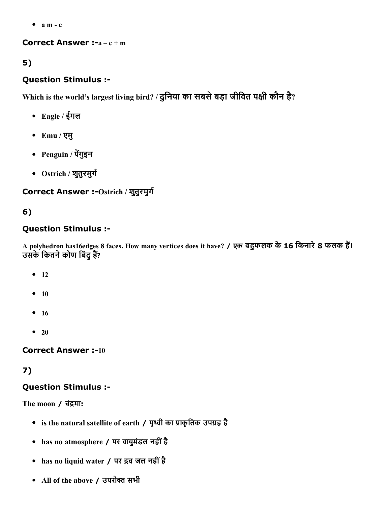$\bullet$  a m - c

Correct Answer :- $a - c + m$ 

## 5)

## Question Stimulus :

Which is the world's largest living bird? / दुनिया का सबसे बड़ा जीवित पक्षी कौन है?

- Eagle / ईगल
- Emu / एमु
- Penguin / पेंगुइन
- Ostrich / शुतुरमुर्ग

## Correct Answer :-Ostrich / शुतुरमुर्ग

# 6)

## Question Stimulus :

A polyhedron has16edges 8 faces. How many vertices does it have? / एक बहुफलक के 16 किनारे 8 फलक हैं। उसके कितने कोण बिंदु हैं?

- $-12$
- $10$
- $16$
- $\bullet$  20

**Correct Answer :-10** 

## 7)

## Question Stimulus :

The moon / चंद्रमा:

- is the natural satellite of earth / पृथ्वी का प्राकृतिक उपग्रह है
- has no atmosphere / पर वायुमंडल नहींहै
- has no liquid water / पर द्रव जल नहीं है
- All of the above / उपरोक्त सभी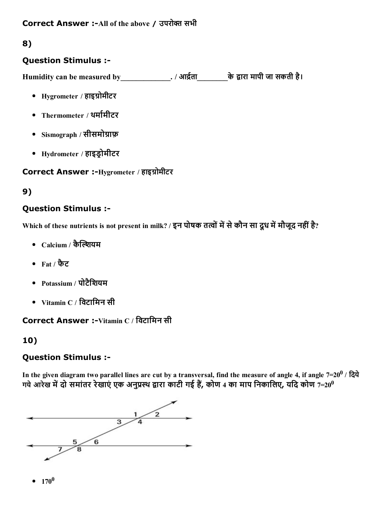## Question Stimulus :

Humidity can be measured by\_\_\_\_\_\_\_\_\_\_\_\_\_\_. / आर्द्रता\_\_\_\_\_\_\_\_\_के द्वारा मापी जा सकती है।

- Hygrometer / हाइग्रोमीटर
- Thermometer / थर्मामीटर
- Sismograph / सीसमोग्राफ़
- Hydrometer / हाइड्रोमीटर

### Correct Answer :-Hygrometer / हाइग्रोमीटर

## 9)

## Question Stimulus :

Which of these nutrients is not present in milk? / इन पोषक तत्वों में से कौन सा दूध में मौजूद नहीं है?

- $\bullet$   $\,$  Calcium / कैल्शियम
- Fat / फैट
- Potassium / पोटैिशयम
- $\bullet$  Vitamin C / विटामिन सी

Correct Answer :-Vitamin C / विटामिन सी

## 10)

## Question Stimulus :

In the given diagram two parallel lines are cut by a transversal, find the measure of angle 4, if angle 7=20 $^0$  / दिये $\,$ गये आरेख में दो समांतर रेखाएं एक अनुप्रस्थ द्वारा काटी गई हैं, कोण 4 का माप निकालिए, यदि कोण 7=20 $^{\rm 0}$ 

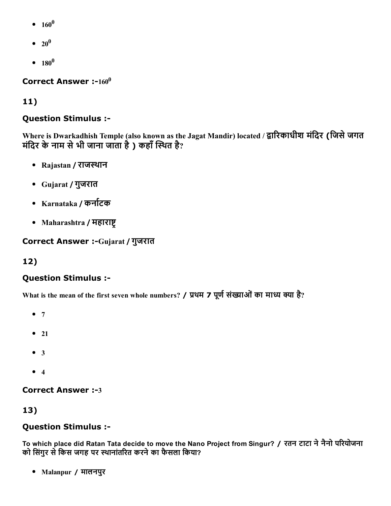- $160^0$
- $20^0$
- $180^0$

Correct Answer :- $160^0$ 

## 11)

### Question Stimulus :

Where is Dwarkadhish Temple (also known as the Jagat Mandir) located / द्वारिकाधीश मंदिर (जिसे जगत मंदिर के नाम से भी जाना जाता है ) कहाँ स्थित है?

- Rajastan / राजस्थान
- Gujarat / गुजरात
- Karnataka / कर्नाटक
- Maharashtra / महाराष्ट्

Correct Answer :-Gujarat / गुजरात

## 12)

#### Question Stimulus :

What is the mean of the first seven whole numbers? / प्रथम 7 पूर्ण संख्याओं का माध्य क्या है?

- $7$
- $\bullet$  21
- $3$
- $4$

**Correct Answer :-3** 

## 13)

#### Question Stimulus :

To which place did Ratan Tata decide to move the Nano Project from Singur? / रतन टाटा ने नैनो परियोजना को सिंगुर से किस जगह पर स्थानांतरित करने का फैसला किया?

Malanpur / मालनपुर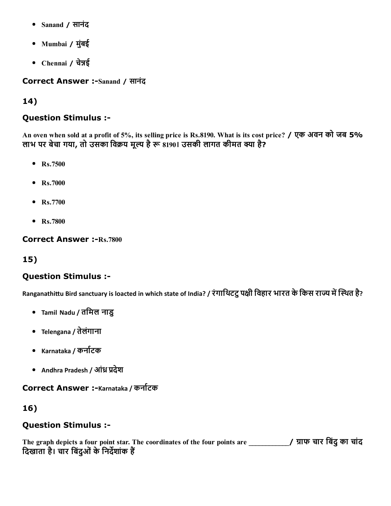- Sanand / सानंद
- Mumbai / मुंबई
- Chennai / चेन्नई

Correct Answer :-Sanand / सानंद

## 14)

### Question Stimulus :

An oven when sold at a profit of 5%, its selling price is Rs.8190. What is its cost price? / एक अवन को जब 5% लाभ पर बेचा गया, तो उसका विक्रय मूल्य है रू 8190। उसकी लागत कीमत क्या है?

- Rs.7500
- Rs.7000
- Rs.7700
- Rs.7800

**Correct Answer :- Rs.7800** 

## 15)

## Question Stimulus :

Ranganathittu Bird sanctuary is loacted in which state of India? / रंगाथिटटु पक्षी विहार भारत के किस राज्य में स्थित है?

- Tamil Nadu / तिमल नाडु
- Telengana / तेलंगाना
- Karnataka / कर्नाटक
- Andhra Pradesh / ऑध्र प्रदेश

## Correct Answer :-Karnataka / कर्नाटक

## 16)

## Question Stimulus :

The graph depicts a four point star. The coordinates of the four points are \_\_\_\_\_\_\_\_\_\_\_\_/ ाफ चार िबंदुका चांद दिखाता है। चार बिंदुओं के निर्देशांक हैं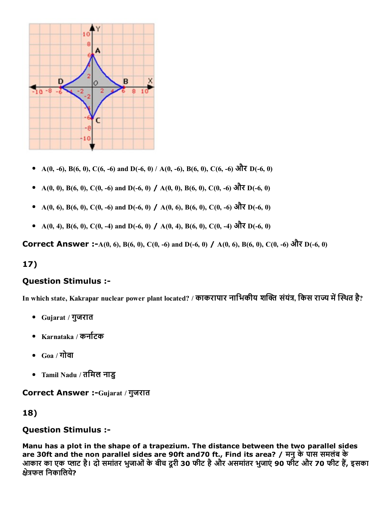

- A(0, -6), B(6, 0), C(6, -6) and D(-6, 0) / A(0, -6), B(6, 0), C(6, -6) और D(-6, 0)
- A(0, 0), B(6, 0), C(0, -6) and D(-6, 0) / A(0, 0), B(6, 0), C(0, -6) और D(-6, 0)
- A(0, 6), B(6, 0), C(0, -6) and D(-6, 0) / A(0, 6), B(6, 0), C(0, -6) और D(-6, 0)
- A(0, 4), B(6, 0), C(0, -4) and D(-6, 0) / A(0, 4), B(6, 0), C(0, -4) और D(-6, 0)

Correct Answer :-A(0, 6), B(6, 0), C(0, -6) and D(-6, 0) / A(0, 6), B(6, 0), C(0, -6) और D(-6, 0)

#### 17)

#### Question Stimulus :

In which state, Kakrapar nuclear power plant located? / काकरापार नाभिकीय शक्ति संयंत्र, किस राज्य में स्थित है?

- Gujarat / गुजरात
- Karnataka / कर्नाटक
- $_{\rm{Ga}/\bar{\rm{d}}}$ गोवा
- Tamil Nadu / तिमल नाडु

#### Correct Answer :- Gujarat / गुजरात

#### 18)

#### Question Stimulus :

Manu has a plot in the shape of a trapezium. The distance between the two parallel sides are 30ft and the non parallel sides are 90ft and70 ft., Find its area? / मनुकेपास समलंब के आकार का एक प्लाट है। दो समांतर भुजाओं के बीच दूरी 30 फीट है और असमांतर भुजाएं 90 फीट और 70 फीट हैं, इसका क्षेत्रफल निकालिये?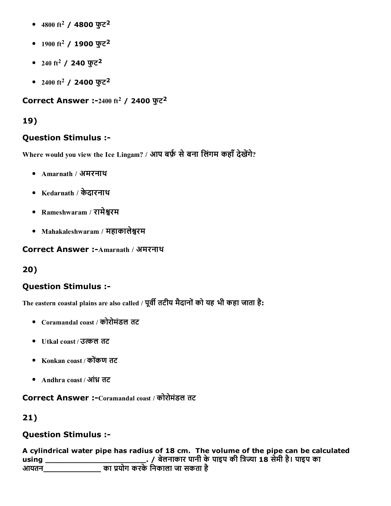- $4800$  ft $^2$  /  $4800$  फुट $^2$
- $1900 \text{ ft}^2$  / 1900 फुट<sup>2</sup>
- $240~{\rm ft}^2$  / 240 फुट $^2$
- $2400 \; \mathrm{ft^2}$  / 2400 फुट $^2$

```
Correct Answer :-2400 ft<sup>2</sup> / 2400 फुट<sup>2</sup>
```
### Question Stimulus :

Where would you view the Ice Lingam? / आप बर्फ़ से बना लिंगम कहाँ देखेंगे?

- Amarnath / अमरनाथ
- Kedarnath / केदारनाथ
- Rameshwaram / रामेश्वरम
- Mahakaleshwaram / महाकालेश्वरम

Correct Answer :- Amarnath / अमरनाथ

#### 20)

## Question Stimulus :

The eastern coastal plains are also called / पूर्वी तटीय मैदानों को यह भी कहा जाता है:

- Coramandal coast / कोरोमंडल तट
- Utkal coast / उ礄ल तट
- Konkan coast / कोकंण तट
- Andhra coast / आंध्र तट

Correct Answer :-Coramandal coast / कोरोमंडल तट

## 21)

## Question Stimulus :

A cylindrical water pipe has radius of 18 cm. The volume of the pipe can be calculated using \_\_\_\_\_\_\_\_\_\_\_\_\_\_\_\_\_\_\_\_\_. / बेलनाकार पानी केपाइप की ि搄惿倄ा 18 सेमी है। पाइप का आयतन\_\_\_\_\_\_\_\_\_\_\_\_ का 猄냿योग करकेिनकाला जा सकता है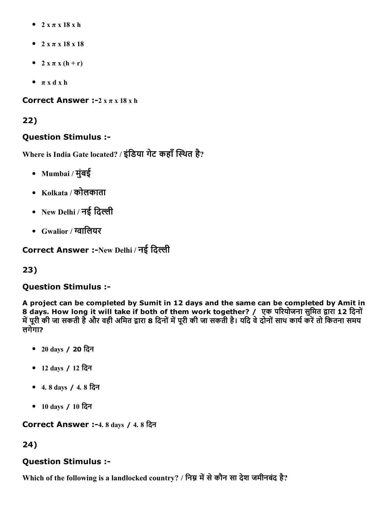- $\bullet$  2 x  $\pi$  x 18 x h
- $2 x \pi x 18 x 18$
- $\bullet$  2 x  $\pi$  x (h + r)
- $\bullet$   $\pi$  x d x h

Correct Answer :- $2 x \pi x 18 x h$ 

## 22)

## Question Stimulus :

Where is India Gate located? / इंडिया गेट कहाँ स्थित है?

- Mumbai / मुंबई
- Kolkata / कोलकाता
- New Delhi / नई दिल्ली
- Gwalior / ⬄ािलयर

Correct Answer :-New Delhi / नई दिल्ली

## 23)

## Question Stimulus :

A project can be completed by Sumit in 12 days and the same can be completed by Amit in 8 days. How long it will take if both of them work together? / एक परियोजना सुमित द्वारा 12 दिनों में पूरी की जा सकती है और वही अमित द्वारा 8 दिनों में पूरी की जा सकती है। यदि वे दोनों साथ कार्य करें तो कितना समय लगेगा?

- 20 days / 20 िदन
- 12 days / 12 िदन
- 4. 8 days / 4. 8 िदन
- 10 days / 10 िदन

Correct Answer :-4. 8 days / 4.8 दिन

## 24)

## Question Stimulus :

Which of the following is a landlocked country? / निम्न में से कौन सा देश जमीनबंद है?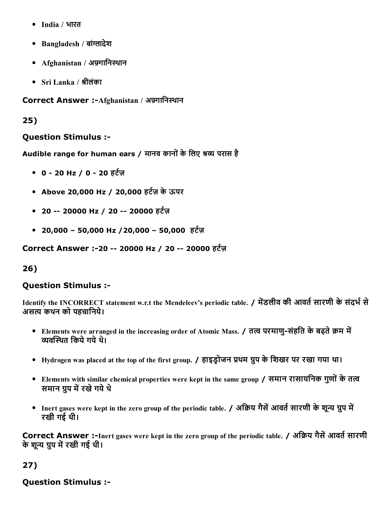- India / भारत
- Bangladesh / बांग्लादेश
- Afghanistan / अफ़्गानिस्थान
- $Sri$  Lanka / श्रीलंका

Correct Answer :-Afghanistan / अफ़्गानिस्थान

### 25)

#### Question Stimulus :

Audible range for human ears / मानव कानों के लिए श्रव्य परास है

- $0 20$  Hz / 0 20 हर्टज़
- Above 20,000 Hz / 20,000 हर्टज़ के ऊपर
- 20 -- 20000 Hz / 20 -- 20000 हर्टज़
- 20,000 50,000 Hz / 20,000 50,000 हर्टज़

Correct Answer :-20 -- 20000 Hz / 20 -- 20000 हर्टज़

## 26)

#### Question Stimulus :

Identify the INCORRECT statement w.r.t the Mendeleev's periodic table. / मेंडलीव की आवर्त सारणी के संदर्भ से असत्य कथन को पहचानिये।

- Elements were arranged in the increasing order of Atomic Mass. / तत्व परमाणु-संहति के बढ़ते क्रम में व्यवस्थित किये गये थे।
- Hydrogen was placed at the top of the first group. / हाइड़ोजन प्रथम ग्रुप के शिखर पर रखा गया था।
- Elements with similar chemical properties were kept in the same group / समान रासायनिक गुणों के तत्व समान ग्रुप में रखे गये थे
- Inert gases were kept in the zero group of the periodic table. / अक्रिय गैसें आवर्त सारणी के शून्य ग्रुप में रखी गई थी।

Correct Answer :-Inert gases were kept in the zero group of the periodic table. / अक्रिय गैसें आवर्त सारणी के शून्य ग्रुप में रखी गई थी।

## 27)

## Question Stimulus :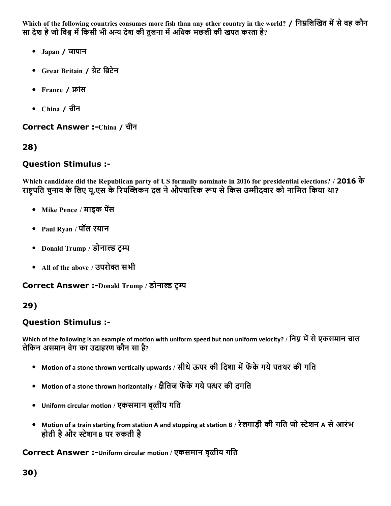Which of the following countries consumes more fish than any other country in the world? / निम्नलिखित में से वह कौन सा देश है जो विश्व में किसी भी अन्य देश की तुलना में अधिक मछली की खपत करता है?

- Japan / जापान
- Great Britain / ग्रेट ब्रिटेन
- France / फ्रांस
- China / चीन

Correct Answer :-China / चीन

28)

#### Question Stimulus :

Which candidate did the Republican party of US formally nominate in 2016 for presidential elections? / 2016 के राष्ट्रपति चुनाव के लिए यू.एस के रिपब्लिकन दल ने औपचारिक रूप से किस उम्मीदवार को नामित किया था?

- Mike Pence / माइक पेंस
- Paul Ryan / पॉल रयान
- Donald Trump / डोनाल्ड टम्प
- All of the above / उपरोक्त सभी

Correct Answer :-Donald Trump / डोनाल्ड ट्म्प

#### 29)

#### Question Stimulus :

Which of the following is an example of motion with uniform speed but non uniform velocity? / निम्न में से एकसमान चाल लेिकन असमान वेग का उदाहरण कौन सा है?

- Motion of a stone thrown vertically upwards / सीधे ऊपर की दिशा में फेंके गये पतथर की गति
- Motion of a stone thrown horizontally / क्षैतिज फेंके गये पत्थर की दगति
- Uniform circular motion / एकसमान वृत्तीय गति  $\bullet$
- Motion of a train starting from station A and stopping at station B / रेलगाड़ी की गति जो स्टेशन A से आरंभ होती है और स्टेशन в पर रुकती है

Correct Answer :-Uniform circular motion / एकसमान वृत्तीय गति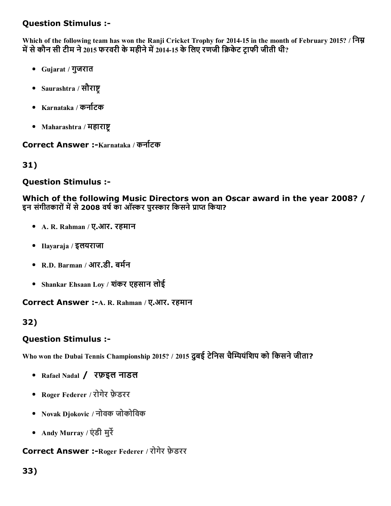Which of the following team has won the Ranji Cricket Trophy for 2014-15 in the month of February 2015? / निम्न में से कौन सी टीम ने 2015 फरवरी के महीने में 2014-15 के लिए रणजी क्रिकेट टाफी जीती थी?

- Gujarat / गुजरात
- Saurashtra / सौराष्ट
- $\bullet$  Karnataka / कर्नाटक
- Maharashtra / महाराष्ट

Correct Answer :-Karnataka / कर्नाटक

31)

### Question Stimulus :

Which of the following Music Directors won an Oscar award in the year 2008? / इन संगीतकारों में से 2008 वर्ष का ऑस्कर पुरस्कार किसने प्राप्त किया?

- A. R. Rahman / ए.आर. रहमान
- Ilayaraja / इलयराजा
- $R.D. Barman / 3I7.51. aif7$
- Shankar Ehsaan Loy / शकंर एहसान लोई

Correct Answer :- A. R. Rahman / ए.आर. रहमान

## 32)

#### Question Stimulus :

Who won the Dubai Tennis Championship 2015? / 2015 दुबई टेनिस चैम्पियंशिप को किसने जीता?

- Rafael Nadal / रफ़इल नाडल
- Roger Federer / रोगेर फ़ेडरर
- Novak Djokovic / नोवक जोकोिवक
- Andy Murray / एंडी मुर्रे

#### Correct Answer :- Roger Federer / रोगेर फ़ेडरर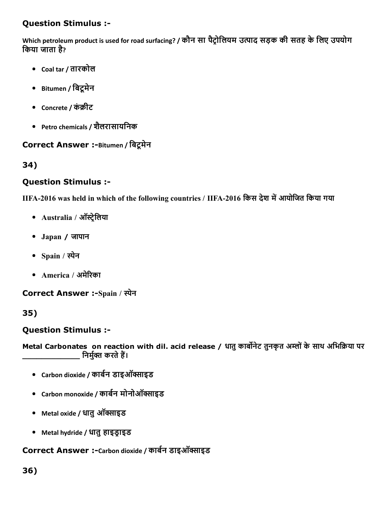Which petroleum product is used for road surfacing? / कौन सा पैट्रोलियम उत्पाद सड़क की सतह के लिए उपयोग िकया जाता है?

- Coal tar / तारकोल
- Bitumen / िबटूमेन
- Concrete / कंक्रीट
- Petro chemicals / शलैरासायिनक

#### Correct Answer :-Bitumen / बिट्रमेन

34)

#### Question Stimulus :

IIFA-2016 was held in which of the following countries / IIFA-2016 किस देश में आयोजित किया गया

- Australia / ऑस्ट्रेलिया
- Japan / जापान
- Spain / स्पेन
- America / अमेरिका

Correct Answer :-Spain / स्पेन

35)

#### Question Stimulus :

Metal Carbonates on reaction with dil. acid release / धातु कार्बोनेट तुनकृत अम्लों के साथ अभिक्रिया पर \_\_\_\_\_\_\_\_\_\_\_ निर्मुक्त करते हैं।

- Carbon dioxide / कार्बन डाइऑक्साइड
- Carbon monoxide / कार्बन मोनोऑक्साइड
- Metal oxide / धातु ऑक्साइड
- Metal hydride / धातु हाइड्राइड

Correct Answer :-Carbon dioxide / कार्बन डाइऑक्साइड

#### 36)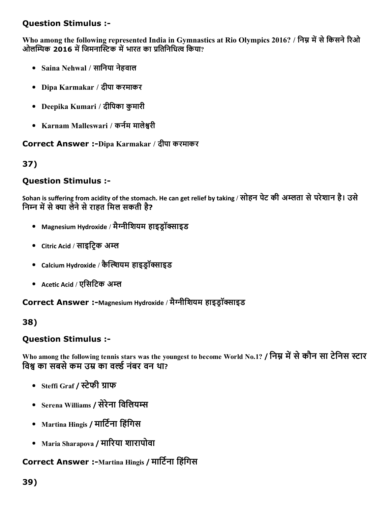Who among the following represented India in Gymnastics at Rio Olympics 2016? / निम्न में से किसने रिओ ओलम्पिक 2016 में जिमनास्टिक में भारत का प्रतिनिधित्व किया?

- Saina Nehwal / सािनया नेहवाल
- Dipa Karmakar / दीपा करमाकर
- Deepika Kumari / दीिपका कुमारी
- Karnam Malleswari / कर्नम मालेश्वरी

#### Correct Answer :-Dipa Karmakar / दीपा करमाकर

37)

### Question Stimulus :

Sohan is suffering from acidity of the stomach. He can get relief by taking / सोहन पेट की अम्लता से परेशान है। उसे निम्न में से क्या लेने से राहत मिल सकती है?

- Magnesium Hydroxide / मैग्नीशियम हाइड्रॉक्साइड
- Citric Acid / साइट्रिक अम्ल
- $\bullet$  Calcium Hydroxide / कैल्शियम हाइडॉक्साइड
- Acetic Acid / एसिटिक अम्ल

Correct Answer :-Magnesium Hydroxide / मैग्नीशियम हाइड़ॉक्साइड

#### 38)

#### Question Stimulus :

Who among the following tennis stars was the youngest to become World No.1? / निम्न में से कौन सा टेनिस स्टार विश्व का सबसे कम उम्र का वर्ल्ड नंबर वन था?

- Steffi Graf / स्टेफी ग्राफ
- $\bullet$  Serena Williams / सेरेना विलियम्स
- Martina Hingis / मार्टिना हिंगिस
- Maria Sharapova / मारिया शारापोवा

# Correct Answer :-Martina Hingis / मार्टिना हिंगिस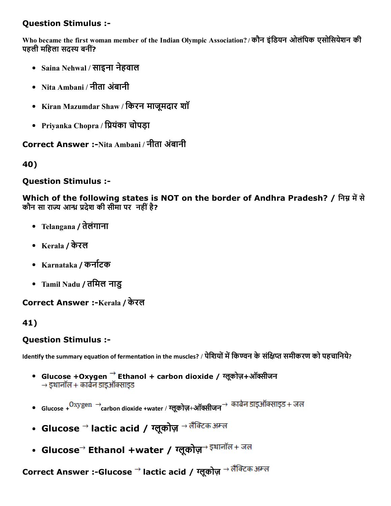Who became the first woman member of the Indian Olympic Association? / कौन इंडियन ओलंपिक एसोसियेशन की पहली महिला सदस्य बनीं?

- Saina Nehwal / साइना नेहवाल
- Nita Ambani / नीता अंबानी
- Kiran Mazumdar Shaw / िकरन माजूमदार शॉ
- Priyanka Chopra / प्रियंका चोपड़ा

Correct Answer :-Nita Ambani / नीता अंबानी

40)

### Question Stimulus :

Which of the following states is NOT on the border of Andhra Pradesh? / निम्न में से कौन सा राज्य आन्ध्र प्रदेश की सीमा पर नहीं है?

- Telangana / तेलंगाना
- Kerala / केरल
- Karnataka / कर्नाटक
- Tamil Nadu / तिमल नाडु

Correct Answer :-Kerala / केरल

## 41)

## Question Stimulus :

Identify the summary equation of fermentation in the muscles? / पेशियों में किण्वन के संक्षिप्त समीकरण को पहचानिये?

- Glucose +Oxygen  $\rightarrow$  Ethanol + carbon dioxide / ग्लूकोज़+ऑक्सीजन  $\rightarrow$  डथानॉल + कार्बन डाइऑक्साइड
- $\bullet$  Glucose +  $\rm Oxygen \rightarrow$  carbon dioxide +water / ग्लूकोज़+ऑक्सीजन $\rm \rightarrow$  कार्बन डाइऑक्साइड + जल
- ∙ Glucose <sup>→</sup> lactic acid / ग्लूकोज़ <sup>→ लैक्टिक अम्ल</sup>
- ∙ Glucose<sup>→</sup> Ethanol +water / ग्लूकोज़<sup>→ इथानॉल+ जल</sup>

Correct Answer :-Glucose → lactic acid / ग्लूकोज़ → लैक्टिक अम्ल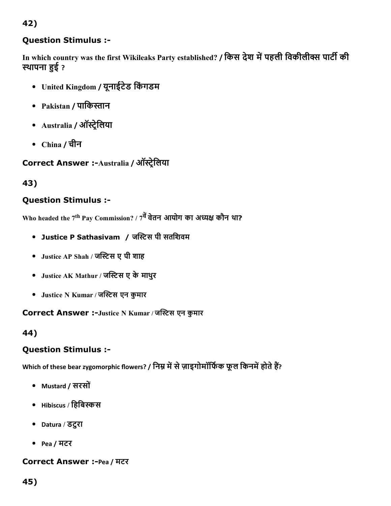## Question Stimulus :

In which country was the first Wikileaks Party established? / किस देश में पहली विकीलीक्स पार्टी की स्थापना हुई ?

- United Kingdom / यूनाईटेड िकंगडम
- Pakistan / पाकिस्तान
- Australia / ऑस्ट्रेलिया
- China / चीन

```
Correct Answer :-Australia / ऑस्ट्रेलिया
```
43)

## Question Stimulus :

Who headed the 7<sup>th</sup> Pay Commission? / 7<sup>वे</sup> वेतन आयोग का अध्यक्ष कौन था?

- Justice P Sathasivam / जस्टिस पी सतशिवम
- Justice AP Shah / जस्टिस ए पी शाह
- Justice AK Mathur / जस्टिस ए के माथुर
- Justice N Kumar / जस्टिस एन कुमार

Correct Answer :-Justice N Kumar / जस्टिस एन कुमार

44)

## Question Stimulus :

Which of these bear zygomorphic flowers? / निम्न में से ज़ाइगोमॉर्फिक फूल किनमें होते हैं?

- Mustard / सरसों
- $\bullet$  Hibiscus / हिबिस्कस
- Datura / डटुरा
- Pea / मटर

## Correct Answer :-Pea / मटर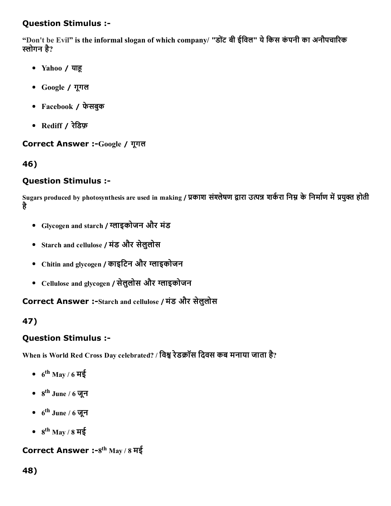"Don't be Evil" is the informal slogan of which company/ "डोंट बी ईविल" ये किस कंपनी का अनौपचारिक स्लोगन है?

- Yahoo / याह
- Google / गूगल
- Facebook / फेसबुक
- Rediff / रेिडफ़

## Correct Answer :-Google / गूगल

46)

## Question Stimulus :

Sugars produced by photosynthesis are used in making / प्रकाश संश्लेषण द्वारा उत्पन्न शर्करा निम्न के निर्माण में प्रयुक्त होती है

- Glycogen and starch / ⨄ाइकोजन और मंड
- Starch and cellulose / मंड और सेलुलोस
- Chitin and glycogen / काइटिन और ग्लाइकोजन
- Cellulose and glycogen / सेलुलोस और ग्लाइकोजन

Correct Answer :-Starch and cellulose / मंड और सेलुलोस

# 47)

## Question Stimulus :

When is World Red Cross Day celebrated? / विश्व रेडक्रॉस दिवस कब मनाया जाता है?

- $6^{\rm th}$  May / 6 मई
- 8<sup>th</sup> June / 6 जून
- $6^{\text{th}}$  June / 6 जून
- 8<sup>th</sup> May / 8 मई

Correct Answer :-8<sup>th</sup> May / 8 मई

## 48)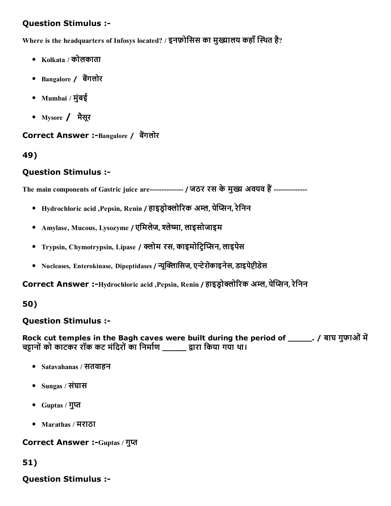Where is the headquarters of Infosys located? / इनफ़ोसिस का मुख्यालय कहाँ स्थित है?

- $\bullet$  Kolkata / कोलकाता
- Bangalore / बैंगलोर
- Mumbai / मुंबई
- Mysore / मैसूर

Correct Answer :-Bangalore / बैंगलोर

#### 49)

### Question Stimulus :

The main components of Gastric juice are------------- / जठर रस के मुख्य अवयव हैं --------------

- Hydrochloric acid ,Pepsin, Renin / हाइडोक्लोरिक अम्ल, पेप्सिन, रेनिन
- Amylase, Mucous, Lysozyme / एमिलेज, श्लेष्मा, लाइसोजाइम
- Trypsin, Chymotrypsin, Lipase / क्लोम रस, काइमोटिप्सिन, लाइपेस
- Nucleases, Enterokinase, Dipeptidases / न्यूक्लिासिज, एन्टेरोकाइनेस, डाइपेप्टीडेस

Correct Answer :-Hydrochloric acid ,Pepsin, Renin / हाइड़ोक्लोरिक अम्ल, पेप्सिन, रेनिन

#### 50)

#### Question Stimulus :

Rock cut temples in the Bagh caves were built during the period of \_\_\_\_\_\_. / बाघ गुफाओं में चट्टानों को काटकर रॉक कट मंदिरों का निर्माण \_\_\_\_\_ द्वारा किया गया था।

- Satavahanas / सतवाहन
- Sungas / संघास
- Guptas / गुप्त
- Marathas / मराठा

Correct Answer :-Guptas / गुप्त

## 51)

## Question Stimulus :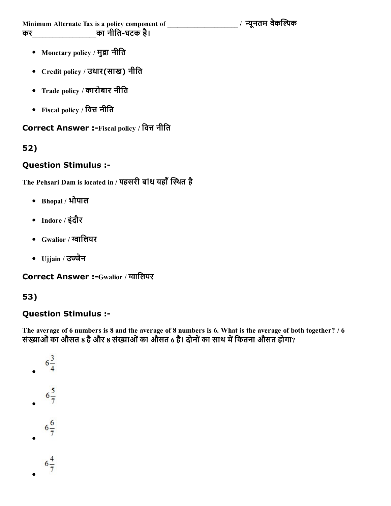Minimum Alternate Tax is a policy component of \_\_\_\_\_\_\_\_\_\_\_\_\_\_\_\_\_\_\_\_\_ / ᄄूनतम वैक甄냿椄क कर\_\_\_\_\_\_\_\_\_\_\_\_\_\_\_\_\_\_\_का नीितघटक है।

- Monetary policy / मुद्रा नीति
- Credit policy / उधार(साख) नीित
- Trade policy / कारोबार नीित
- Fiscal policy / वित्त नीति

## Correct Answer :-Fiscal policy / वित्त नीति

## 52)

### Question Stimulus :

The Pehsari Dam is located in / पहसरी बांध यहाँ स्थित है

- Bhopal / भोपाल
- Indore / इंदौर
- $\bullet$  Gwalior / ग्वालियर
- Ujjain / उज्जैन

Correct Answer :- Gwalior / ग्वालियर

## 53)

## Question Stimulus :

The average of 6 numbers is 8 and the average of 8 numbers is 6. What is the average of both together? / 6 संख्याओं का औसत 8 है और 8 संख्याओं का औसत 6 है। दोनों का साथ में कितना औसत होगा?

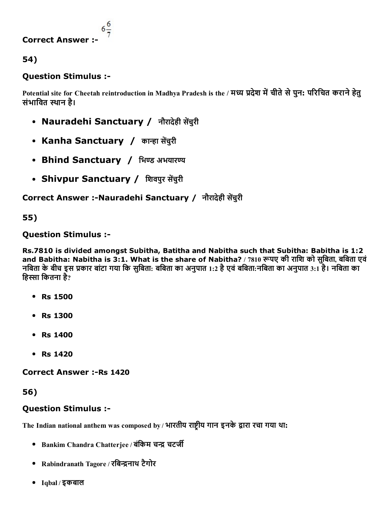

### Question Stimulus :

Potential site for Cheetah reintroduction in Madhya Pradesh is the / मध्य प्रदेश में चीते से पुन: परिचित कराने हेतु संभावित स्थान है।

- Nauradehi Sanctuary / नौरादेही सेंचुरी
- Kanha Sanctuary / कान्हा सेंचुरी
- Bhind Sanctuary / भिण्ड अभयारण्य
- Shivpur Sanctuary / शिवपुर सेंचुरी

Correct Answer :-Nauradehi Sanctuary / नौरादेही सेंचुरी

## 55)

Question Stimulus :

Rs.7810 is divided amongst Subitha, Batitha and Nabitha such that Subitha: Babitha is 1:2 and Babitha: Nabitha is 3:1. What is the share of Nabitha? / 7810 रूपए की राशि को सुबिता, बबिता एवं नबिता के बीच इस प्रकार बांटा गया कि सुबिता: बबिता का अनुपात 1:2 है एवं बबिता:नबिता का अनुपात 3:1 है। नबिता का हिस्सा कितना है?

- Rs 1500
- Rs 1300
- Rs 1400
- Rs 1420

**Correct Answer :- Rs 1420** 

56)

#### Question Stimulus :

The Indian national anthem was composed by / भारतीय राष्ट्रीय गान इनके द्वारा रचा गया था:

- Bankim Chandra Chatterjee / बंकिम चन्द्र चटर्जी
- Rabindranath Tagore / रबिन्द्रनाथ टैगोर
- Iqbal / इकबाल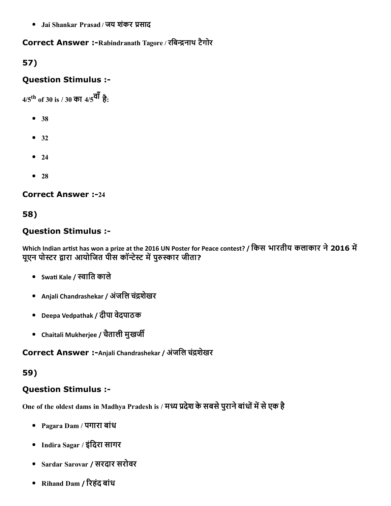• Jai Shankar Prasad / जय शंकर प्रसाद

## Correct Answer :-Rabindranath Tagore / रबिन्द्रनाथ टैगोर

# 57)

## Question Stimulus :

4/5<sup>th</sup> of 30 is / 30 का 4/5<sup>वॉ</sup> है:

- 38
- $32$
- $24$
- $28$

#### **Correct Answer :-24**

## 58)

## Question Stimulus :

Which Indian artist has won a prize at the 2016 UN Poster for Peace contest? / किस भारतीय कलाकार ने 2016 में यूएन पोस्टर द्वारा आयोजित पीस कॉन्टेस्ट में पुरुस्कार जीता?

- Swati Kale / स्वाति काले
- Anjali Chandrashekar / अंजलि चंद्रशेखर
- Deepa Vedpathak / दीपा वेदपाठक
- Chaitali Mukherjee / चतैाली मुखज眄

Correct Answer :-Anjali Chandrashekar / अंजलि चंद्रशेखर

#### 59)

## Question Stimulus :

One of the oldest dams in Madhya Pradesh is / मध्य प्रदेश के सबसे पुराने बांधों में से एक है

- Pagara Dam / पगारा बांध
- Indira Sagar / इंिदरा सागर
- Sardar Sarovar / सरदार सरोवर
- Rihand Dam / रिहंद बांध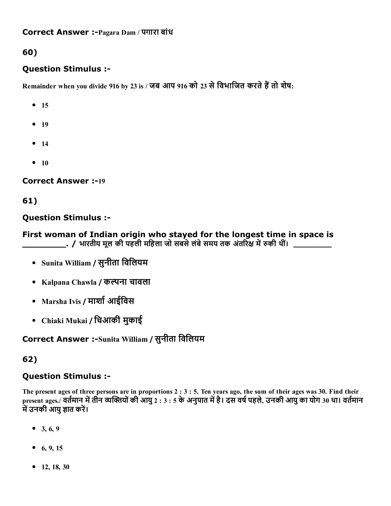## Question Stimulus :

 $R$ emainder when you divide 916 by 23 is / जब आप 916 को 23 से विभाजित करते हैं तो शेष:

- $15$
- $19$
- $14$
- $10$

**Correct Answer :-19** 

61)

## Question Stimulus :

First woman of Indian origin who stayed for the longest time in space is \_\_\_/ भारतीय मूल की पहली महिला जो सबसे लंबे समय तक अंतरिक्ष में रुकी थीं।

- Sunita William / सुनीता िविलयम
- Kalpana Chawla / कल्पना चावला
- Marsha Ivis / मार्शा आईविस
- Chiaki Mukai / िचआकी मुकाई

## Correct Answer :-Sunita William / सुनीता विलियम

## 62)

## Question Stimulus :

The present ages of three persons are in proportions 2 : 3 : 5. Ten years ago, the sum of their ages was 30. Find their present ages./ वर्तमान में तीन व्यक्तियों की आयु 2 : 3 : 5 के अनुपात में है। दस वर्ष पहले, उनकी आयु का योग 30 था। वर्तमान में उनकी आयु ज्ञात करें।

- $\bullet$  3, 6, 9
- 6, 9, 15
- 12, 18, 30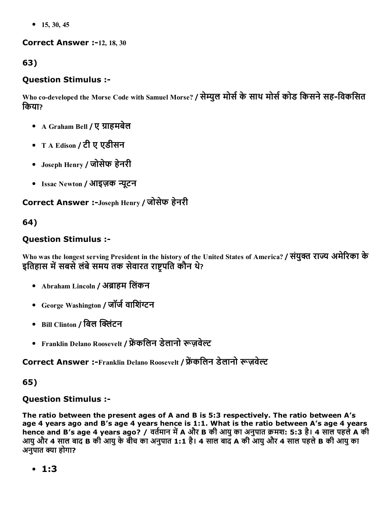$\bullet$  15, 30, 45

#### **Correct Answer :-12, 18, 30**

## 63)

## Question Stimulus :

Who co-developed the Morse Code with Samuel Morse? / सेम्युल मोर्स के साथ मोर्स कोड किसने सह-विकसित िकया?

- A Graham Bell / ए ग्राहमबेल
- T A Edison / टी ए एडीसन
- Joseph Henry / जोसेफ हेनरी
- Issac Newton / आइज़क न्यूटन

## Correct Answer :-Joseph Henry / जोसेफ हेनरी

## 64)

## Question Stimulus :

Who was the longest serving President in the history of the United States of America? / संयुक्त राज्य अमेरिका के इतिहास में सबसे लंबे समय तक सेवारत राष्ट्रपति कौन थे?

- Abraham Lincoln / अब्राहम लिंकन
- George Washington / जॉर्ज वाशिंग्टन
- Bill Clinton / बिल क्लिंटन
- Franklin Delano Roosevelt / फ्रेंकलिन डेलानो रूज़वेल्ट

Correct Answer :-Franklin Delano Roosevelt / फ्रेंकलिन डेलानो रूज़वेल्ट

## 65)

## Question Stimulus :

The ratio between the present ages of A and B is 5:3 respectively. The ratio between A's age 4 years ago and B's age 4 years hence is 1:1. What is the ratio between A's age 4 years hence and B's age 4 years ago? / वर्तमान में A और B की आयु का अनुपात क्रमश: 5:3 है। 4 साल पहले A की आयुऔर 4 साल बाद B की आयुकेबीच का अनुपात 1:1 है। 4 साल बाद A की आयुऔर 4 साल पहलेB की आयुका अनुपात क्या होगा?

1:3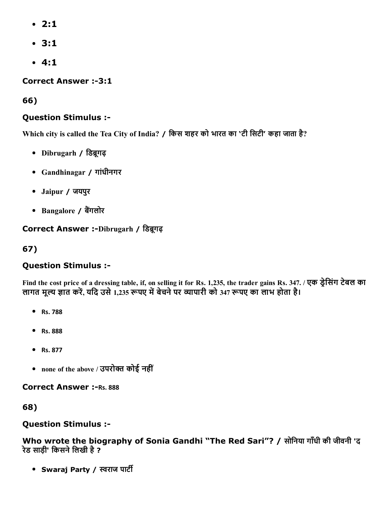- 2:1
- 3:1
- $-4:1$

**Correct Answer :-3:1** 

66)

## Question Stimulus :

Which city is called the Tea City of India? / िकस शहर को भारत का 'टी िसटी' कहा जाता है?

- Dibrugarh / डिब्रूगढ़
- Gandhinagar / गांधीनगर
- Jaipur / जयपुर
- Bangalore / बैंगलोर

## Correct Answer :-Dibrugarh / डिब्रगढ

67)

## Question Stimulus :

Find the cost price of a dressing table, if, on selling it for Rs. 1,235, the trader gains Rs. 347. / एक डेसिंग टेबल का लागत मूल्य ज्ञात करें, यदि उसे 1,235 रूपए में बेचने पर व्यापारी को 347 रूपए का लाभ होता है।

- Rs. 788
- Rs. 888
- Rs. 877
- none of the above / उपरोक्त कोई नहीं

**Correct Answer :- Rs. 888** 

68)

## Question Stimulus :

Who wrote the biography of Sonia Gandhi "The Red Sari"? / सोिनया गाँधी की जीवनी 'द रेड साड़ी' किसने लिखी है ?

• Swaraj Party / स्वराज पार्टी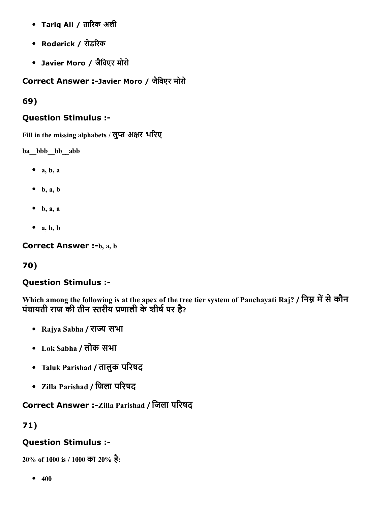- Tariq Ali / तारिक अली
- Roderick / रोडरिक
- Javier Moro / जैिवएर मोरो

Correct Answer :Javier Moro / जैिवएर मोरो

69)

### Question Stimulus :

Fill in the missing alphabets / लुप्त अक्षर भरिए

ba\_bbb\_bb\_abb

- $\bullet$  a, b, a
- $\bullet$  b, a, b
- $\bullet$  b, a, a
- $\bullet$  a, b, b

**Correct Answer :-b, a, b** 

## 70)

#### Question Stimulus :

Which among the following is at the apex of the tree tier system of Panchayati Raj? / निम्न में से कौन पंचायती राज की तीन स्तरीय प्रणाली के शीर्ष पर है?

- Rajya Sabha / राज्य सभा
- Lok Sabha / लोक सभा
- Taluk Parishad / तालुक परिषद
- Zilla Parishad / जिला परिषद

## Correct Answer :- Zilla Parishad / जिला परिषद

71)

## Question Stimulus :

20% of 1000 is / 1000 का 20% है:

 $• 400$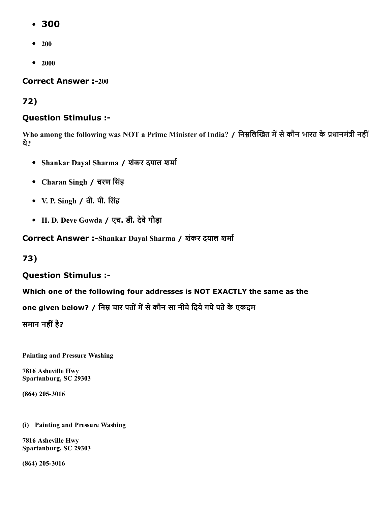- 300
- $\bullet$  200
- $2000$

**Correct Answer :-200** 

## 72)

## Question Stimulus :

Who among the following was NOT a Prime Minister of India? / निम्नलिखित में से कौन भारत के प्रधानमंत्री नहीं थे?

- Shankar Dayal Sharma / शंकर दयाल शर्मा
- Charan Singh / चरण िसंह
- V. P. Singh / वी. पी. िसंह
- H. D. Deve Gowda / एच. डी. देवेगौड़ा

Correct Answer :-Shankar Dayal Sharma / शंकर दयाल शर्मा

73)

## Question Stimulus :

Which one of the following four addresses is NOT EXACTLY the same as the

one given below? / निम्न चार पतों में से कौन सा नीचे दिये गये पते के एकदम

समान नहीं है?

Painting and Pressure Washing

7816 Asheville Hwy Spartanburg, SC 29303

(864) 205-3016

#### (i) Painting and Pressure Washing

7816 Asheville Hwy Spartanburg, SC 29303

(864) 205-3016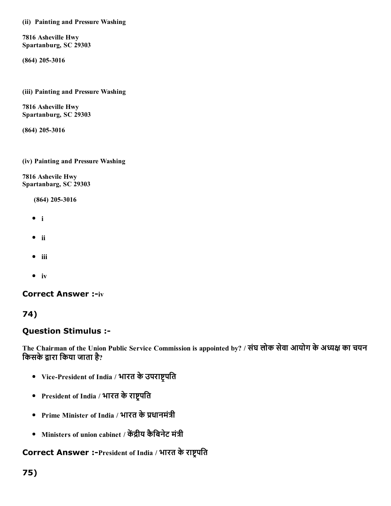(ii) Painting and Pressure Washing

7816 Asheville Hwy Spartanburg, SC 29303

(864) 205-3016

(iii) Painting and Pressure Washing

7816 Asheville Hwy Spartanburg, SC 29303

(864) 205-3016

#### (iv) Painting and Pressure Washing

7816 Ashevile Hwy Spartanbarg, SC 29303

(864) 205-3016

- i
- $\bullet$  ii
- $\bullet$  iii
- $\bullet$  iv

#### **Correct Answer :- iv**

74)

#### Question Stimulus :

The Chairman of the Union Public Service Commission is appointed by? / संघ लोक सेवा आयोग के अध्यक्ष का चयन किसके द्वारा किया जाता है?

- Vice-President of India / भारत के उपराष्ट्रपति
- President of India / भारत के राष्ट्रपति
- Prime Minister of India / भारत के प्रधानमंत्री
- Ministers of union cabinet / केंद्रीय कैबिनेट मंत्री

Correct Answer :-President of India / भारत के राष्ट्रपति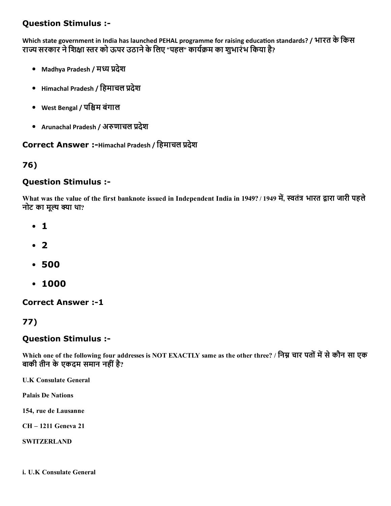Which state government in India has launched PEHAL programme for raising education standards? / भारत के किस राज्य सरकार ने शिक्षा स्तर को ऊपर उठाने के लिए "पहल" कार्यक्रम का शभारंभ किया है?

- Madhya Pradesh / मध्य प्रदेश
- Himachal Pradesh / हिमाचल प्रदेश
- West Bengal / पि鐄म बंगाल
- Arunachal Pradesh / अरुणाचल प्रदेश

### Correct Answer :-Himachal Pradesh / हिमाचल प्रदेश

#### 76)

#### Question Stimulus :

What was the value of the first banknote issued in Independent India in 1949? / 1949 में, स्वतंत्र भारत द्वारा जारी पहले नोट का मूल्य क्या था?

- 1
- $\bullet$  2
- 500
- 1000

**Correct Answer :-1** 

## 77)

### Question Stimulus :

Which one of the following four addresses is NOT EXACTLY same as the other three? / निम्न चार पतों में से कौन सा एक बाकी तीन केएकदम समान नहींहै?

U.K Consulate General

Palais De Nations

154, rue de Lausanne

CH – 1211 Geneva 21

**SWITZERLAND** 

i. U.K Consulate General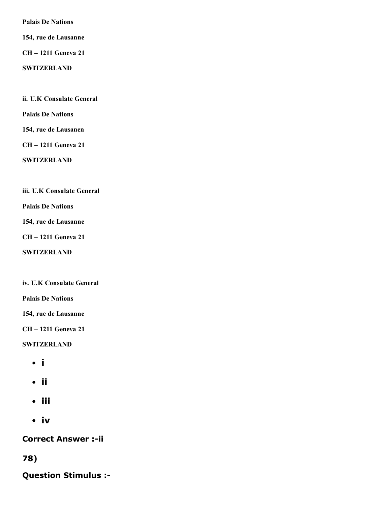Palais De Nations

154, rue de Lausanne

CH – 1211 Geneva 21

**SWITZERLAND** 

ii. U.K Consulate General

Palais De Nations

154, rue de Lausanen

CH – 1211 Geneva 21

**SWITZERLAND** 

iii. U.K Consulate General

Palais De Nations

154, rue de Lausanne

CH – 1211 Geneva 21

**SWITZERLAND** 

iv. U.K Consulate General

Palais De Nations

154, rue de Lausanne

CH – 1211 Geneva 21

**SWITZERLAND** 

- i
- ii
- iii
- iv

**Correct Answer :- ii** 

78)

Question Stimulus :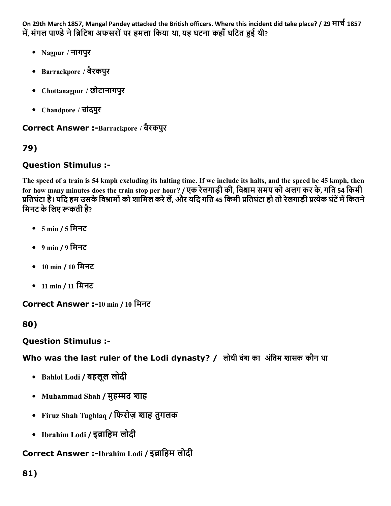On 29th March 1857, Mangal Pandey attacked the British officers. Where this incident did take place? / 29 मार्च 1857 में, मंगल पाण्डे ने ब्रिटिश अफसरों पर हमला किया था, यह घटना कहाँ घटित हुई थी?

- Nagpur / नागपुर
- Barrackpore / बैरकपुर
- Chottanagpur / छोटानागपुर
- Chandpore / चांदपुर

## Correct Answer :-Barrackpore / बैरकपुर

## 79)

## Question Stimulus :

The speed of a train is 54 kmph excluding its halting time. If we include its halts, and the speed be 45 kmph, then for how many minutes does the train stop per hour? / एक रेलगाड़ी की, विश्राम समय को अलग कर के, गति 54 किमी प्रतिघंटा है। यदि हम उसके विश्रामों को शामिल करे लें, और यदि गति 45 किमी प्रतिघंटा हो तो रेलगाड़ी प्रत्येक घंटें में कितने मिनट के लिए रूकती है?

- 5 min / 5 िमनट
- 9 min / 9 िमनट
- 10 min / 10 िमनट
- 11 min / 11 मिनट

Correct Answer :-10 min / 10 मिनट

## 80)

## Question Stimulus :

Who was the last ruler of the Lodi dynasty? / लोधी वंश का अंतिम शासक कौन था

- Bahlol Lodi / बहलूल लोदी
- Muhammad Shah / मुहम्मद शाह
- Firuz Shah Tughlaq / िफरोज़ शाह तुगलक
- Ibrahim Lodi / इब्राहिम लोदी

## Correct Answer :-Ibrahim Lodi / इब्राहिम लोदी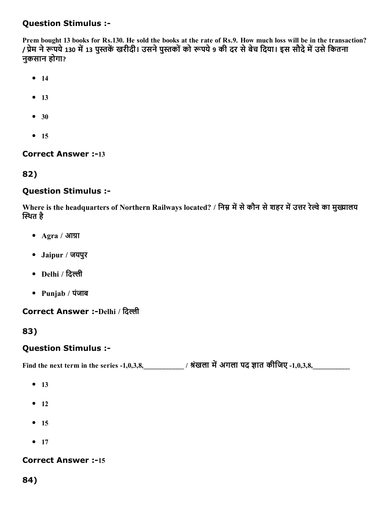## Question Stimulus :

Prem bought 13 books for Rs.130. He sold the books at the rate of Rs.9. How much loss will be in the transaction? / प्रेम ने रूपये 130 में 13 पुस्तकें खरीदी। उसने पुस्तकों को रूपये 9 की दर से बेच दिया। इस सौदे में उसे कितना नुकसान होगा?

- $14$
- $-13$
- $30$
- $15$

#### **Correct Answer :-13**

### 82)

### Question Stimulus :

Where is the headquarters of Northern Railways located? / निम्न में से कौन से शहर में उत्तर रेल्वे का मुख्यालय स्थित है

- Agra / आग्रा
- Jaipur / जयपुर
- Delhi / दिल्ली
- Punjab / पंजाब

#### Correct Answer :-Delhi / दिल्ली

83)

### Question Stimulus :

Find the next term in the series 1,0,3,8,\_\_\_\_\_\_\_\_\_\_\_\_ / 鐄裿ंखला म냿礄अगला पद 䘄ात कीिजए 1,0,3,8,\_\_\_\_\_\_\_\_\_\_\_

- $-13$
- $-12$
- $15$
- $-17$

### **Correct Answer :-15**

84)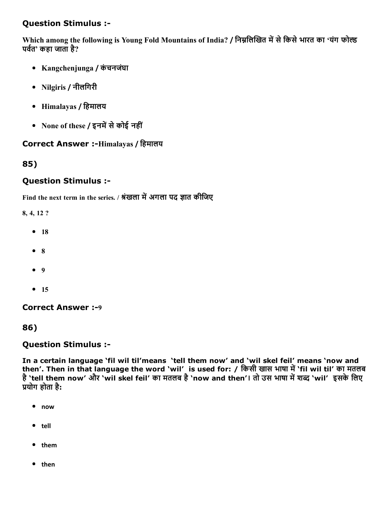# Question Stimulus :

Which among the following is Young Fold Mountains of India? / निम्नलिखित में से किसे भारत का 'यंग फोल्ड पर्वत' कहा जाता है?

- Kangchenjunga / कंचनजंघा
- Nilgiris / नीलिगरी
- Himalayas / िहमालय
- None of these / इनमें से कोई नहीं

### Correct Answer :-Himalayas / हिमालय

### 85)

### Question Stimulus :

Find the next term in the series. / श्रंखला में अगला पद ज्ञात कीजिए

8, 4, 12 ?

- $18$
- $8$
- $9$
- $15$

Correct Answer :-9

### 86)

### Question Stimulus :

In a certain language 'fil wil til'means 'tell them now' and 'wil skel feil' means 'now and then'. Then in that language the word `wil' is used for: / किसी खास भाषा में `fil wil til' का मतलब है 'tell them now' और 'wil skel feil' का मतलब है 'now and then'। तो उस भाषा में शब्द 'wil' इसके लिए प्रयोग होता है:

- $\bullet$ now
- tell
- them
- then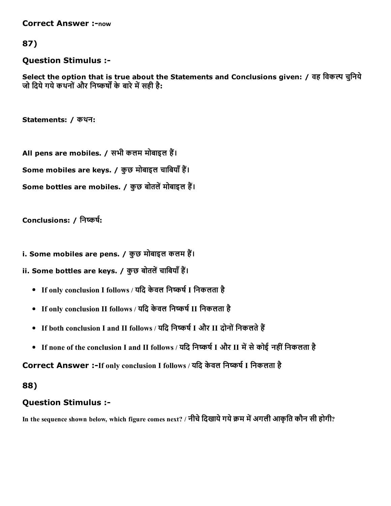**Correct Answer :-now** 

### 87)

### Question Stimulus :

Select the option that is true about the Statements and Conclusions given: / वह विकल्प चुनिये जो दिये गये कथनों और निष्कर्षों के बारे में सही है:

Statements: / कथन:

All pens are mobiles. / सभी कलम मोबाइल हैं। Some mobiles are keys. / कुछ मोबाइल चाबियाँ हैं। Some bottles are mobiles. / कुछ बोतलें मोबाइल हैं।

Conclusions: / निष्कर्ष:

i. Some mobiles are pens. / कुछ मोबाइल कलम हैं।

ii. Some bottles are keys. / कुछ बोतलें चाबियाँ हैं।

- If only conclusion I follows / यदि केवल निष्कर्ष I निकलता है
- If only conclusion II follows / यदि केवल निष्कर्ष II निकलता है
- If both conclusion I and II follows / यदि निष्कर्ष I और II दोनों निकलते हैं
- If none of the conclusion I and II follows / यदि निष्कर्ष I और II में से कोई नहीं निकलता है

Correct Answer :-If only conclusion I follows / यदि केवल निष्कर्ष I निकलता है

### 88)

# Question Stimulus :

In the sequence shown below, which figure comes next? / नीचे दिखाये गये क्रम में अगली आकृति कौन सी होगी?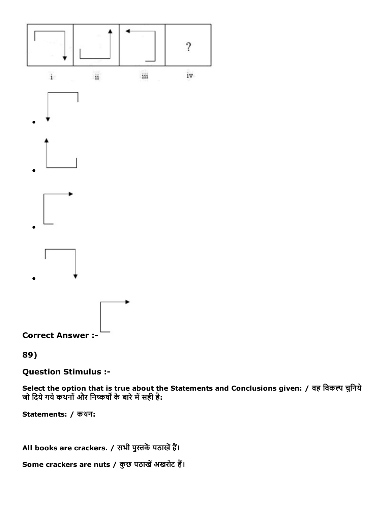

89)

**Question Stimulus :-**

Select the option that is true about the Statements and Conclusions given: / वह विकल्प चुनिये<br>जो दिये गये कथनों और निष्कर्षों के बारे में सही है:

Statements: / कथन:

All books are crackers. / सभी पुस्तकें पठाखें हैं।

Some crackers are nuts / कुछ पठाखें अखरोट हैं।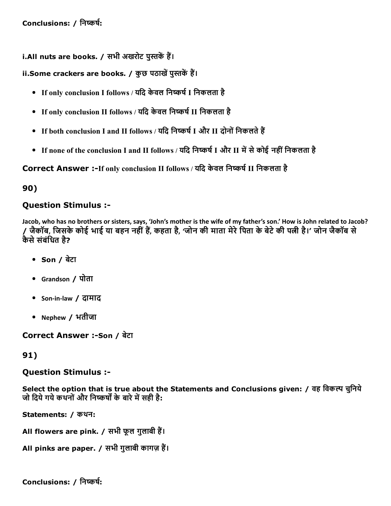i.All nuts are books. / सभी अखरोट पुस्तकें हैं।

ii.Some crackers are books. / कुछ पठाखें पुस्तकें हैं।

- If only conclusion I follows / यदि केवल निष्कर्ष I निकलता है
- If only conclusion II follows / यदि केवल निष्कर्ष II निकलता है
- If both conclusion I and II follows / यदि निष्कर्ष I और II दोनों निकलते हैं
- If none of the conclusion I and II follows / यदि निष्कर्ष I और II में से कोई नहीं निकलता है

Correct Answer :-If only conclusion II follows / यदि केवल निष्कर्ष II निकलता है

90)

# Question Stimulus :

Jacob, who has no brothers or sisters, says, 'John's mother is the wife of my father's son.' How is John related to Jacob? जैकॉब. जिसके कोई भाई या बहन नहीं हैं, कहता है, 'जोन की माता मेरे पिता के बेटे की पत्नी है।' जोन जैकॉब से कैसे संबंधित है?

- Son / बेटा
- Grandson / पोता
- Son‐in‐law / दामाद
- Nephew / भतीजा

Correct Answer :-Son / बेटा

# 91)

### Question Stimulus :

Select the option that is true about the Statements and Conclusions given: / वह विकल्प चुनिये जो दिये गये कथनों और निष्कर्षों के बारे में सही है:

Statements: / कथन:

All flowers are pink. / सभी फूल गुलाबी हैं।

All pinks are paper. / सभी गुलाबी कागज़ हैं।

Conclusions: / निष्कर्ष: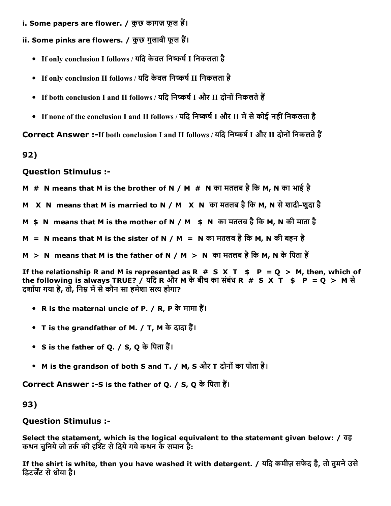i. Some papers are flower. / कुछ कागज़ फूल हैं।

ii. Some pinks are flowers. / कुछ गुलाबी फूल हैं।

- If only conclusion I follows / यदि केवल निष्कर्ष I निकलता है
- If only conclusion II follows / यदि केवल निष्कर्ष II निकलता है
- If both conclusion I and II follows / यदि निष्कर्ष I और II दोनों निकलते हैं
- If none of the conclusion I and II follows / यदि निष्कर्ष I और II में से कोई नहीं निकलता है

Correct Answer :-If both conclusion I and II follows / यदि निष्कर्ष I और II दोनों निकलते हैं

92)

Question Stimulus :

- M  $#$  N means that M is the brother of N / M  $#$  N का मतलब है कि M, N का भाई है
- M X N means that M is married to N / M X N का मतलब है कि M, N से शादी-शुदा है
- M \$ N means that M is the mother of N / M \$ N का मतलब है कि M, N की माता है
- $M = N$  means that M is the sister of N / M = N का मतलब है कि M, N की बहन है
- M > N means that M is the father of N / M > N का मतलब है कि M, N के पिता हैं

If the relationship R and M is represented as R  $# S X T$   $\qquad P = Q > M$ , then, which of the following is always TRUE? / यदि R और M के बीच का संबंध R  $# S X T$   $\frac{1}{5} P = Q > M$  से दर्शाया गया है, तो, निम्र में से कौन सा हमेशा सत्य होगा?

- R is the maternal uncle of P. / R, P के मामा हैं।
- T is the grandfather of M. / T, M के दादा हैं।
- S is the father of Q. / S, Q के पिता हैं।
- M is the grandson of both S and T. / M, S और T दोनोंका पोता है।

Correct Answer :-S is the father of Q. / S, Q के पिता हैं।

93)

Question Stimulus :

Select the statement, which is the logical equivalent to the statement given below: / वह कथन चुनिये जो तर्क की दृश्टि से दिये गये कथन के समान है:

If the shirt is white, then you have washed it with detergent. / यिद कमीज़ सफेद है, तो तुमनेउसे डिटर्जेंट से धोया है।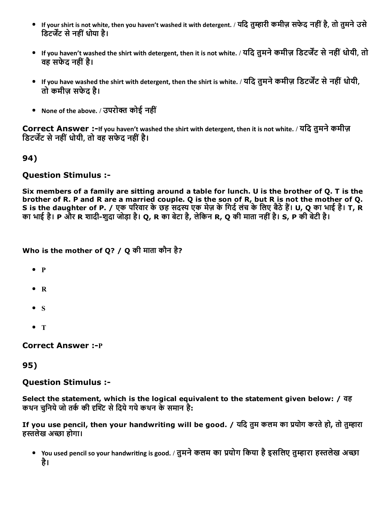- If your shirt is not white, then you haven't washed it with detergent. / यदि तुम्हारी कमीज़ सफेद नहीं है, तो तुमने उसे डिटर्जेंट से नहीं धोया है।
- If you haven't washed the shirt with detergent, then it is not white. / यदि तुमने कमीज़ डिटर्जेंट से नहीं धोयी, तो वह सफेट नहीं है।
- If you have washed the shirt with detergent, then the shirt is white. / यदि तुमने कमीज़ डिटर्जेंट से नहीं धोयी, तो कमीज़ सफेद है।
- None of the above. / उपरोक्त कोई नहीं

Correct Answer :-If you haven't washed the shirt with detergent, then it is not white. / यदि तुमने कमीज़ डिटर्जेंट से नहीं धोयी, तो वह सफेद नहीं है।

94)

### Question Stimulus :

Six members of a family are sitting around a table for lunch. U is the brother of Q. T is the brother of R. P and R are a married couple. Q is the son of R, but R is not the mother of Q. S is the daughter of P. / एक परिवार के छह सदस्य एक मेज़ के गिर्द लंच के लिए बैठे हैं। U, Q का भाई है। T, R का भाई है। P और R शादी-शुदा जोड़ा है। Q, R का बेटा है, लेकिन R, Q की माता नहीं है। S, P की बेटी है।

Who is the mother of Q? / Q की माता कौन है?

- $\bullet$  P
- R
- $\bullet$  S
- T

**Correct Answer :- P** 

### 95)

### Question Stimulus :

Select the statement, which is the logical equivalent to the statement given below: / वह कथन चुनिये जो तर्क की दृश्टि से दिये गये कथन के समान है:

If you use pencil, then your handwriting will be good. / यदि तुम कलम का प्रयोग करते हो, तो तुम्हारा हस्तलेख अच्छा होगा।

• You used pencil so your handwriting is good. / तुमने कलम का प्रयोग किया है इसलिए तुम्हारा हस्तलेख अच्छा है।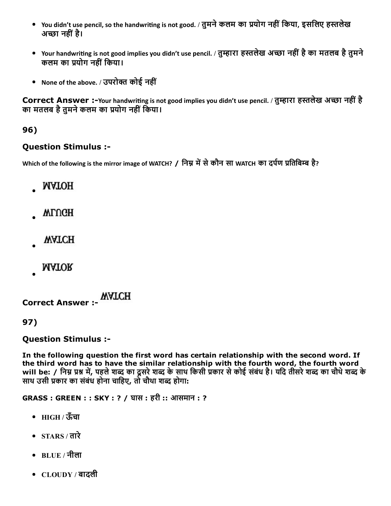- You didn't use pencil, so the handwriting is not good. / तुमने कलम का प्रयोग नहीं किया, इसलिए हस्तलेख अच्छा नहीं है।
- Your handwriting is not good implies you didn't use pencil. / तुम्हारा हस्तलेख अच्छा नहीं है का मतलब है तुमने कलम का प्रयोग नहीं किया।
- None of the above. / उपरोक्त कोई नहीं

Correct Answer :-Your handwriting is not good implies you didn't use pencil. / तुम्हारा हस्तलेख अच्छा नहीं है का मतलब है तुमने कलम का प्रयोग नहीं किया।

# 96)

### Question Stimulus :

Which of the following is the mirror image of WATCH? / निम्न में से कौन सा WATCH का दर्पण प्रतिबिम्ब है?

- **MATOH**
- WLUGH
- **WATCH**
- **MATOR**

Correct Answer :

97)

### Question Stimulus :

In the following question the first word has certain relationship with the second word. If the third word has to have the similar relationship with the fourth word, the fourth word will be: / निम्न प्रश्न में, पहले शब्द का दूसरे शब्द के साथ किसी प्रकार से कोई संबंध है। यदि तीसरे शब्द का चौथे शब्द के साथ उसी प्रकार का संबंध होना चाहिए, तो चौथा शब्द होगा:

GRASS : GREEN : : SKY : ? / घास : हरी :: आसमान : ?

- HIGH / ऊँचा
- $\bullet$  STARS/तारे
- $BLUE / \overline{d}$ ला
- CLOUDY / बादली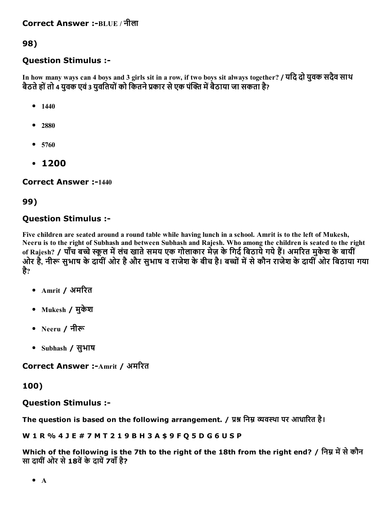98)

# Question Stimulus :

In how many ways can 4 boys and 3 girls sit in a row, if two boys sit always together? / यिद दो युवक सदैव साथ बैठते हों तो 4 युवक एवं 3 युवतियों को कितने प्रकार से एक पंक्ति में बैठाया जा सकता है?

- $1440$
- 2880
- 5760
- 1200

**Correct Answer :-1440** 

### 99)

# Question Stimulus :

Five children are seated around a round table while having lunch in a school. Amrit is to the left of Mukesh, Neeru is to the right of Subhash and between Subhash and Rajesh. Who among the children is seated to the right of Rajesh? / पाँच बच्चे स्कूल में लंच खाते समय एक गोलाकार मेज़ के गिर्द बिठायें गये हैं। अमरित मुकेश के बायीं ओर है. नीरू सुभाष के दायीं ओर है और सुभाष व राजेश के बीच है। बच्चों में से कौन राजेश के दायीं ओर बिठाया गया है?

- Amrit / अमरित
- Mukesh / मुकेश
- Neeru / नीरू
- Subhash / सुभाष

Correct Answer :-Amrit / अमरित

# 100)

# Question Stimulus :

The question is based on the following arrangement. / प्रश्न निम्न व्यवस्था पर आधारित है।

W 1 R % 4 J E # 7 M T 2 1 9 B H 3 A \$ 9 F Q 5 D G 6 U S P

Which of the following is the 7th to the right of the 18th from the right end? / निम्न में से कौन सा दायीं ओर से 18वें के दायें 7वाँ है?